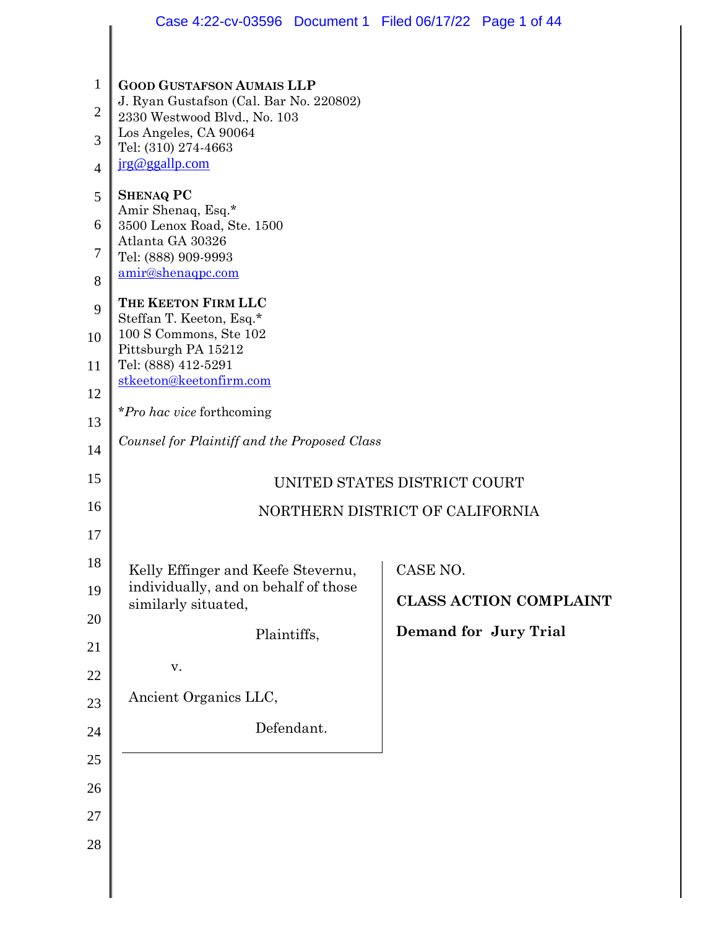|              | Case 4:22-cv-03596  Document 1  Filed 06/17/22  Page 1 of 44                                                                                                                  |          |                               |  |  |
|--------------|-------------------------------------------------------------------------------------------------------------------------------------------------------------------------------|----------|-------------------------------|--|--|
|              |                                                                                                                                                                               |          |                               |  |  |
| $\mathbf{1}$ | <b>GOOD GUSTAFSON AUMAIS LLP</b><br>J. Ryan Gustafson (Cal. Bar No. 220802)<br>2330 Westwood Blvd., No. 103<br>Los Angeles, CA 90064<br>Tel: (310) 274-4663<br>jrg@ggallp.com |          |                               |  |  |
| $\mathbf{2}$ |                                                                                                                                                                               |          |                               |  |  |
| 3            |                                                                                                                                                                               |          |                               |  |  |
| 4<br>5       |                                                                                                                                                                               |          |                               |  |  |
| 6            | <b>SHENAQ PC</b><br>Amir Shenaq, Esq.*<br>3500 Lenox Road, Ste. 1500                                                                                                          |          |                               |  |  |
| 7            | Atlanta GA 30326<br>Tel: (888) 909-9993                                                                                                                                       |          |                               |  |  |
| 8            | amir@shenaqpc.com                                                                                                                                                             |          |                               |  |  |
| 9            | THE KEETON FIRM LLC<br>Steffan T. Keeton, Esq.*                                                                                                                               |          |                               |  |  |
| 10           | $100$ S Commons, Ste $102$<br>Pittsburgh PA 15212                                                                                                                             |          |                               |  |  |
| 11           | Tel: (888) 412-5291<br>stkeeton@keetonfirm.com<br>*Pro hac vice forthcoming                                                                                                   |          |                               |  |  |
| 12           |                                                                                                                                                                               |          |                               |  |  |
| 13           | Counsel for Plaintiff and the Proposed Class                                                                                                                                  |          |                               |  |  |
| 14           |                                                                                                                                                                               |          |                               |  |  |
| 15           | UNITED STATES DISTRICT COURT                                                                                                                                                  |          |                               |  |  |
| 16<br>17     | NORTHERN DISTRICT OF CALIFORNIA                                                                                                                                               |          |                               |  |  |
| 18           |                                                                                                                                                                               |          |                               |  |  |
| 19           | Kelly Effinger and Keefe Stevernu,<br>individually, and on behalf of those                                                                                                    | CASE NO. |                               |  |  |
| 20           | similarly situated,                                                                                                                                                           |          | <b>CLASS ACTION COMPLAINT</b> |  |  |
| 21           | Plaintiffs,                                                                                                                                                                   |          | Demand for Jury Trial         |  |  |
| 22           | v.                                                                                                                                                                            |          |                               |  |  |
| 23           | Ancient Organics LLC,                                                                                                                                                         |          |                               |  |  |
| 24           | Defendant.                                                                                                                                                                    |          |                               |  |  |
| 25           |                                                                                                                                                                               |          |                               |  |  |
| 26           |                                                                                                                                                                               |          |                               |  |  |
| 27           |                                                                                                                                                                               |          |                               |  |  |
| 28           |                                                                                                                                                                               |          |                               |  |  |
|              |                                                                                                                                                                               |          |                               |  |  |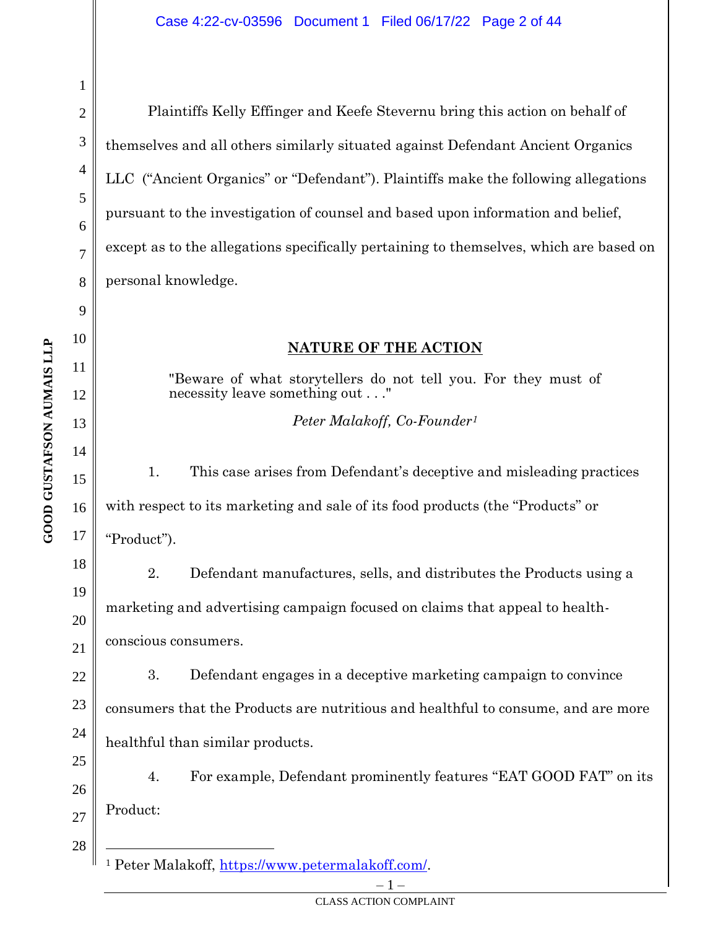**GOOD GUSTAFSON AUMAIS LLP GOOD GUSTAFSON AUMAIS LLP** 1

2

3

4

5

6

7

8

9

10

11

12

13

14

15

16

17

18

19

20

21

22

23

24

25

26

Plaintiffs Kelly Effinger and Keefe Stevernu bring this action on behalf of themselves and all others similarly situated against Defendant Ancient Organics LLC ("Ancient Organics" or "Defendant"). Plaintiffs make the following allegations pursuant to the investigation of counsel and based upon information and belief, except as to the allegations specifically pertaining to themselves, which are based on personal knowledge.

# **NATURE OF THE ACTION**

"Beware of what storytellers do not tell you. For they must of necessity leave something out . . ."

*Peter Malakoff, Co-Founder<sup>1</sup>*

1. This case arises from Defendant's deceptive and misleading practices with respect to its marketing and sale of its food products (the "Products" or "Product").

2. Defendant manufactures, sells, and distributes the Products using a marketing and advertising campaign focused on claims that appeal to healthconscious consumers.

3. Defendant engages in a deceptive marketing campaign to convince consumers that the Products are nutritious and healthful to consume, and are more healthful than similar products.

4. For example, Defendant prominently features "EAT GOOD FAT" on its Product:

27 28

 $\mathbf 1$  –

<sup>1</sup> Peter Malakoff, [https://www.petermalakoff.com/.](https://www.petermalakoff.com/)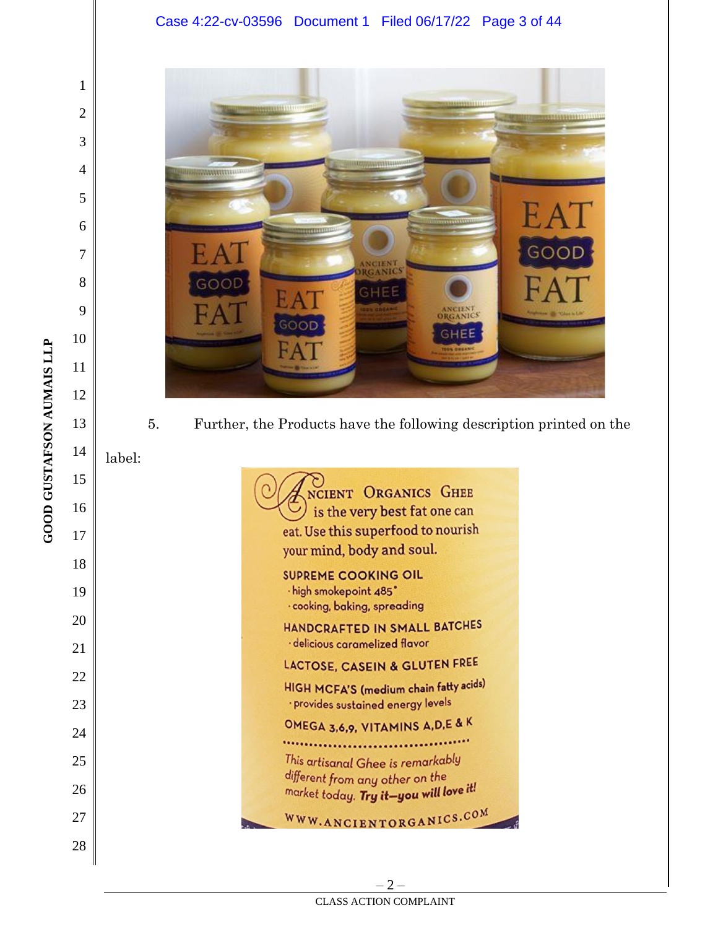#### Case 4:22-cv-03596 Document 1 Filed 06/17/22 Page 3 of 44



5. Further, the Products have the following description printed on the

label:

NCIENT ORGANICS GHEE  $\cup$  is the very best fat one can eat. Use this superfood to nourish your mind, body and soul. **SUPREME COOKING OIL** · high smokepoint 485° · cooking, baking, spreading HANDCRAFTED IN SMALL BATCHES · delicious caramelized flavor LACTOSE, CASEIN & GLUTEN FREE HIGH MCFA'S (medium chain fatty acids) · provides sustained energy levels OMEGA 3,6,9, VITAMINS A, D, E & K ...................... This artisanal Ghee is remarkably different from any other on the market today. Try it-you will love it! WWW.ANCIENTORGANICS.COM

**GOOD GUSTAFSON AUMAIS LLP GOOD GUSTAFSON AUMAIS LLP** 1

2

3

4

5

6

7

8

9

10

11

12

13

14

15

16

17

18

19

20

21

22

23

24

25

26

27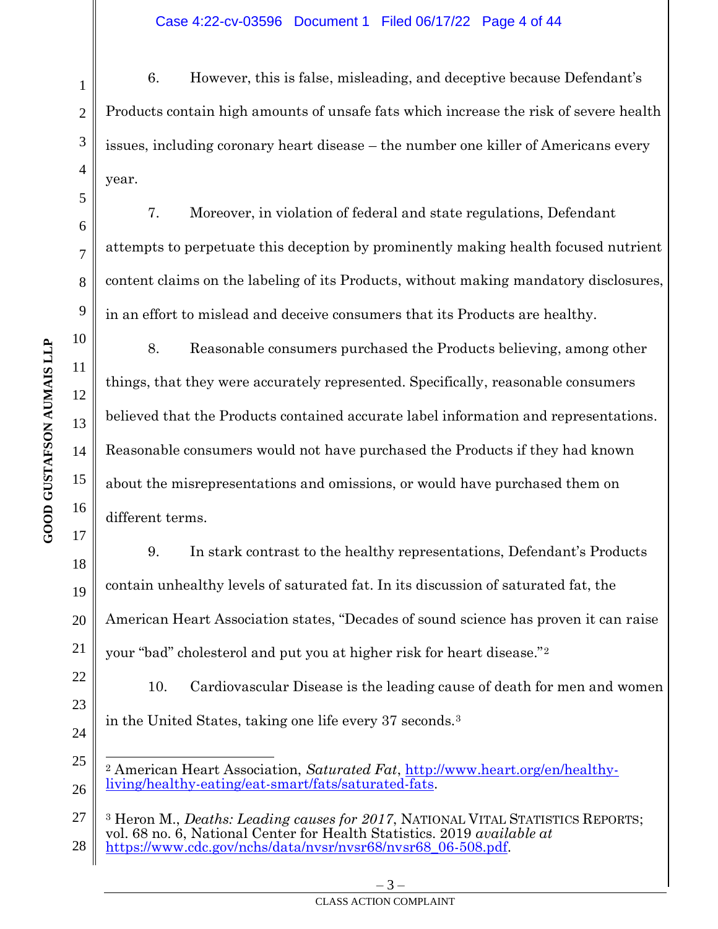6. However, this is false, misleading, and deceptive because Defendant's Products contain high amounts of unsafe fats which increase the risk of severe health issues, including coronary heart disease – the number one killer of Americans every year.

7. Moreover, in violation of federal and state regulations, Defendant attempts to perpetuate this deception by prominently making health focused nutrient content claims on the labeling of its Products, without making mandatory disclosures, in an effort to mislead and deceive consumers that its Products are healthy.

8. Reasonable consumers purchased the Products believing, among other things, that they were accurately represented. Specifically, reasonable consumers believed that the Products contained accurate label information and representations. Reasonable consumers would not have purchased the Products if they had known about the misrepresentations and omissions, or would have purchased them on different terms.

9. In stark contrast to the healthy representations, Defendant's Products contain unhealthy levels of saturated fat. In its discussion of saturated fat, the American Heart Association states, "Decades of sound science has proven it can raise your "bad" cholesterol and put you at higher risk for heart disease."<sup>2</sup>

10. Cardiovascular Disease is the leading cause of death for men and women in the United States, taking one life every 37 seconds.<sup>3</sup>

– 3 – CLASS ACTION COMPLAINT

1

2

3

4

5

6

7

8

9

10

11

12

13

14

15

16

17

18

19

20

21

22

23

<sup>25</sup> 26 <sup>2</sup> American Heart Association, *Saturated Fat*, [http://www.heart.org/en/healthy](http://www.heart.org/en/healthy-living/healthy-eating/eat-smart/fats/saturated-fats)[living/healthy-eating/eat-smart/fats/saturated-fats.](http://www.heart.org/en/healthy-living/healthy-eating/eat-smart/fats/saturated-fats)

<sup>27</sup> 28 <sup>3</sup> Heron M., *Deaths: Leading causes for 2017*, NATIONAL VITAL STATISTICS REPORTS; vol. 68 no. 6, National Center for Health Statistics. 2019 *available at* [https://www.cdc.gov/nchs/data/nvsr/nvsr68/nvsr68\\_06-508.pdf.](https://www.cdc.gov/nchs/data/nvsr/nvsr68/nvsr68_06-508.pdf)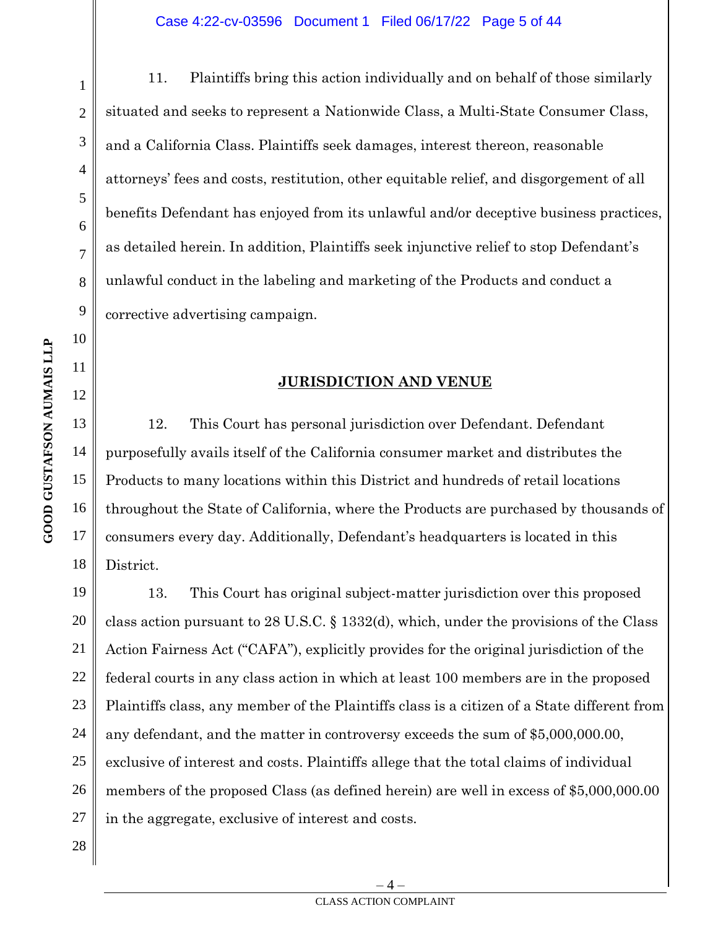11. Plaintiffs bring this action individually and on behalf of those similarly situated and seeks to represent a Nationwide Class, a Multi-State Consumer Class, and a California Class. Plaintiffs seek damages, interest thereon, reasonable attorneys' fees and costs, restitution, other equitable relief, and disgorgement of all benefits Defendant has enjoyed from its unlawful and/or deceptive business practices, as detailed herein. In addition, Plaintiffs seek injunctive relief to stop Defendant's unlawful conduct in the labeling and marketing of the Products and conduct a corrective advertising campaign.

# **JURISDICTION AND VENUE**

12. This Court has personal jurisdiction over Defendant. Defendant purposefully avails itself of the California consumer market and distributes the Products to many locations within this District and hundreds of retail locations throughout the State of California, where the Products are purchased by thousands of consumers every day. Additionally, Defendant's headquarters is located in this District.

19 20 21 22 23 24 25 26 27 13. This Court has original subject-matter jurisdiction over this proposed class action pursuant to 28 U.S.C. § 1332(d), which, under the provisions of the Class Action Fairness Act ("CAFA"), explicitly provides for the original jurisdiction of the federal courts in any class action in which at least 100 members are in the proposed Plaintiffs class, any member of the Plaintiffs class is a citizen of a State different from any defendant, and the matter in controversy exceeds the sum of \$5,000,000.00, exclusive of interest and costs. Plaintiffs allege that the total claims of individual members of the proposed Class (as defined herein) are well in excess of \$5,000,000.00 in the aggregate, exclusive of interest and costs.

1

2

3

4

5

6

7

8

9

10

11

12

13

14

15

16

17

18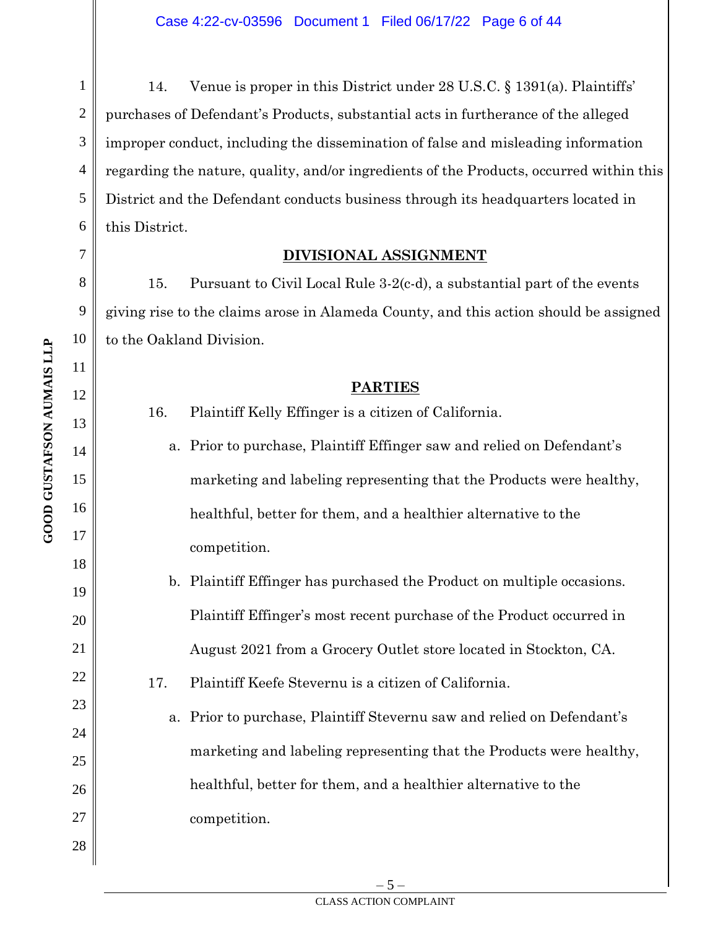14. Venue is proper in this District under 28 U.S.C. § 1391(a). Plaintiffs' purchases of Defendant's Products, substantial acts in furtherance of the alleged improper conduct, including the dissemination of false and misleading information regarding the nature, quality, and/or ingredients of the Products, occurred within this District and the Defendant conducts business through its headquarters located in this District.

## **DIVISIONAL ASSIGNMENT**

15. Pursuant to Civil Local Rule 3-2(c-d), a substantial part of the events giving rise to the claims arose in Alameda County, and this action should be assigned to the Oakland Division.

# **PARTIES**

- 16. Plaintiff Kelly Effinger is a citizen of California.
	- a. Prior to purchase, Plaintiff Effinger saw and relied on Defendant's marketing and labeling representing that the Products were healthy, healthful, better for them, and a healthier alternative to the competition.
- b. Plaintiff Effinger has purchased the Product on multiple occasions. Plaintiff Effinger's most recent purchase of the Product occurred in August 2021 from a Grocery Outlet store located in Stockton, CA.

17. Plaintiff Keefe Stevernu is a citizen of California.

a. Prior to purchase, Plaintiff Stevernu saw and relied on Defendant's marketing and labeling representing that the Products were healthy, healthful, better for them, and a healthier alternative to the competition.

1

2

3

4

5

6

7

8

9

10

11

12

13

14

15

16

17

18

19

20

21

22

23

24

25

26

27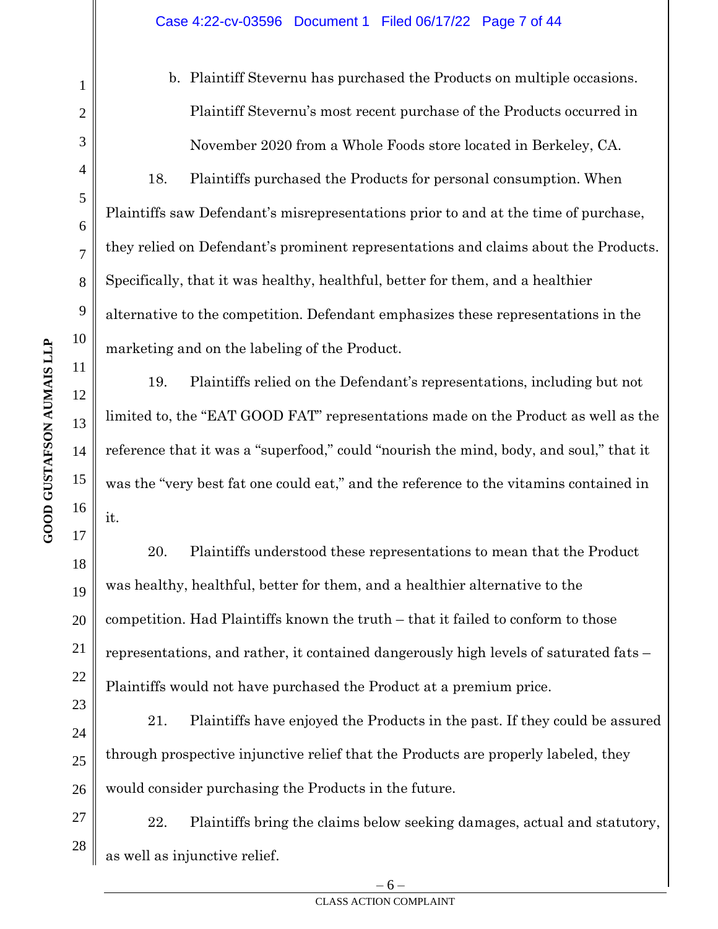b. Plaintiff Stevernu has purchased the Products on multiple occasions. Plaintiff Stevernu's most recent purchase of the Products occurred in November 2020 from a Whole Foods store located in Berkeley, CA.

18. Plaintiffs purchased the Products for personal consumption. When Plaintiffs saw Defendant's misrepresentations prior to and at the time of purchase, they relied on Defendant's prominent representations and claims about the Products. Specifically, that it was healthy, healthful, better for them, and a healthier alternative to the competition. Defendant emphasizes these representations in the marketing and on the labeling of the Product.

19. Plaintiffs relied on the Defendant's representations, including but not limited to, the "EAT GOOD FAT" representations made on the Product as well as the reference that it was a "superfood," could "nourish the mind, body, and soul," that it was the "very best fat one could eat," and the reference to the vitamins contained in it.

20. Plaintiffs understood these representations to mean that the Product was healthy, healthful, better for them, and a healthier alternative to the competition. Had Plaintiffs known the truth – that it failed to conform to those representations, and rather, it contained dangerously high levels of saturated fats – Plaintiffs would not have purchased the Product at a premium price.

21. Plaintiffs have enjoyed the Products in the past. If they could be assured through prospective injunctive relief that the Products are properly labeled, they would consider purchasing the Products in the future.

27 28 22. Plaintiffs bring the claims below seeking damages, actual and statutory, as well as injunctive relief.

1

2

3

4

5

6

7

8

9

10

11

12

13

14

15

16

17

18

19

20

21

22

23

24

25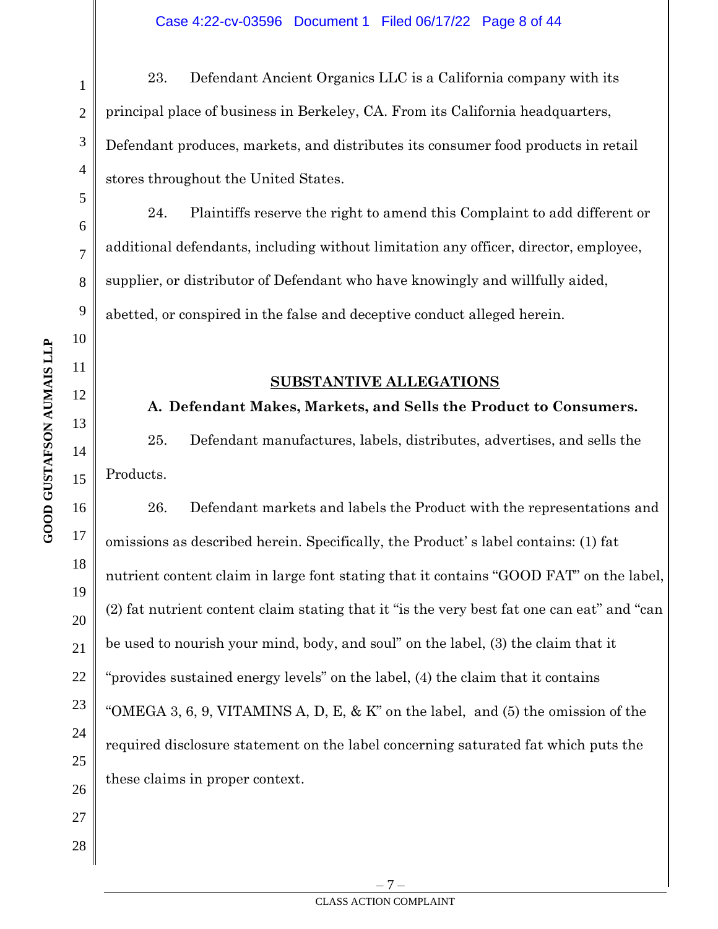23. Defendant Ancient Organics LLC is a California company with its principal place of business in Berkeley, CA. From its California headquarters, Defendant produces, markets, and distributes its consumer food products in retail stores throughout the United States.

24. Plaintiffs reserve the right to amend this Complaint to add different or additional defendants, including without limitation any officer, director, employee, supplier, or distributor of Defendant who have knowingly and willfully aided, abetted, or conspired in the false and deceptive conduct alleged herein.

# **SUBSTANTIVE ALLEGATIONS**

# **A. Defendant Makes, Markets, and Sells the Product to Consumers.**

25. Defendant manufactures, labels, distributes, advertises, and sells the Products.

26. Defendant markets and labels the Product with the representations and omissions as described herein. Specifically, the Product' s label contains: (1) fat nutrient content claim in large font stating that it contains "GOOD FAT" on the label, (2) fat nutrient content claim stating that it "is the very best fat one can eat" and "can be used to nourish your mind, body, and soul" on the label, (3) the claim that it "provides sustained energy levels" on the label, (4) the claim that it contains "OMEGA 3, 6, 9, VITAMINS A, D, E,  $\&$  K" on the label, and (5) the omission of the required disclosure statement on the label concerning saturated fat which puts the these claims in proper context.

1

2

3

4

5

6

7

8

9

10

11

12

13

14

15

16

17

18

19

20

21

22

23

24

25

26

27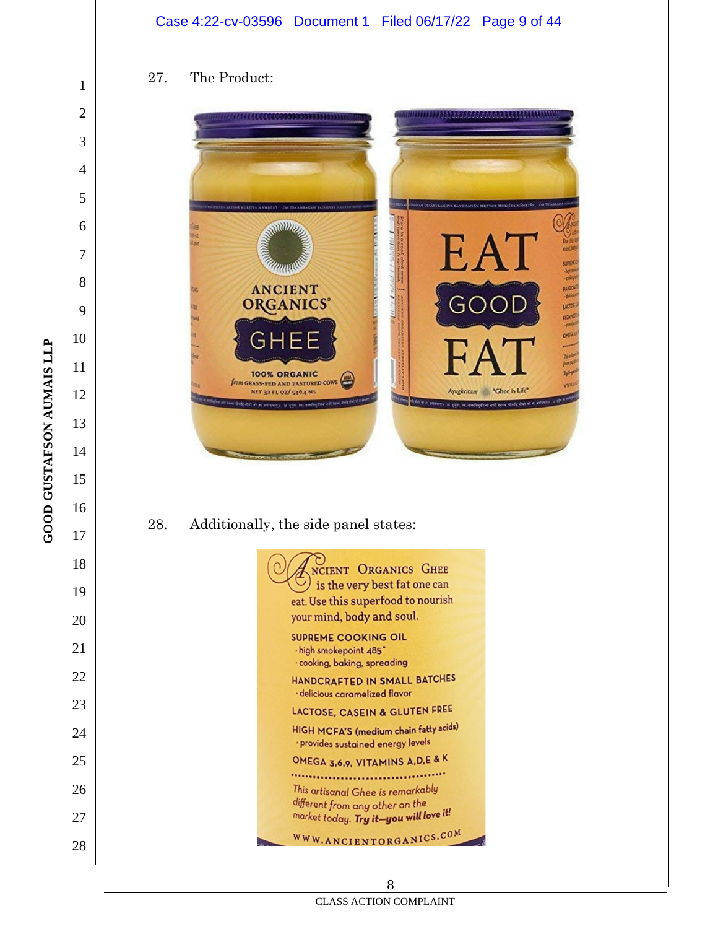#### Case 4:22-cv-03596 Document 1 Filed 06/17/22 Page 9 of 44

## 27. The Product:



# 28. Additionally, the side panel states:



**GOOD GUSTAFSON AUMAIS LLP** 

– 8 – CLASS ACTION COMPLAINT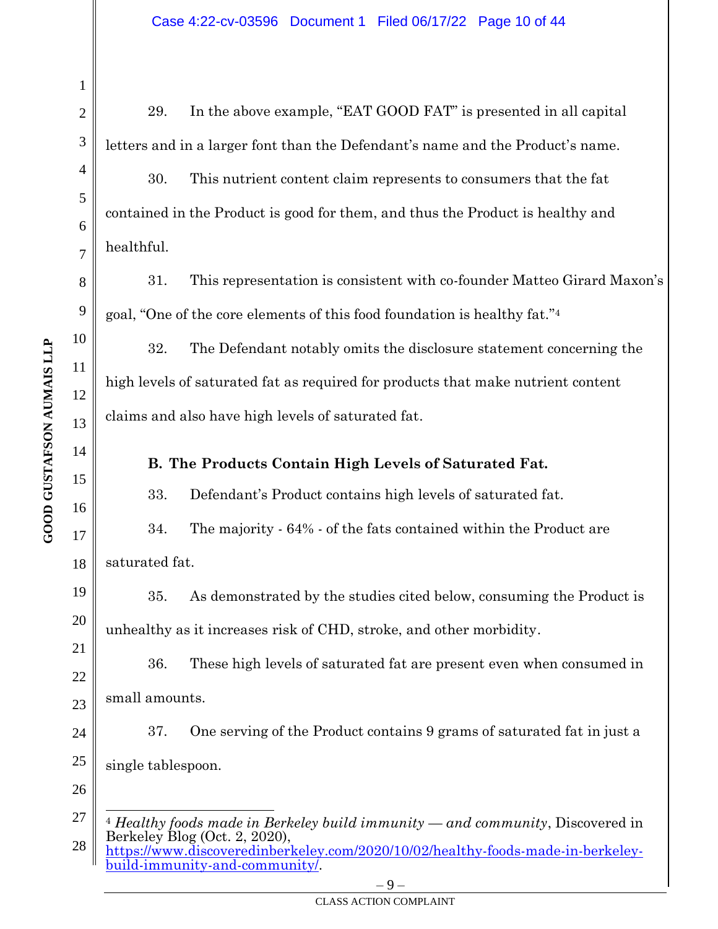1 2 3 4 5 6 7 8 9 10 12 13 14 15 16 17 18 19 20 21 22 23 24 25 26 27 29. In the above example, "EAT GOOD FAT" is presented in all capital letters and in a larger font than the Defendant's name and the Product's name. 30. This nutrient content claim represents to consumers that the fat contained in the Product is good for them, and thus the Product is healthy and healthful. 31. This representation is consistent with co-founder Matteo Girard Maxon's goal, "One of the core elements of this food foundation is healthy fat." 4 32. The Defendant notably omits the disclosure statement concerning the high levels of saturated fat as required for products that make nutrient content claims and also have high levels of saturated fat. **B. The Products Contain High Levels of Saturated Fat.** 33. Defendant's Product contains high levels of saturated fat. 34. The majority - 64% - of the fats contained within the Product are saturated fat. 35. As demonstrated by the studies cited below, consuming the Product is unhealthy as it increases risk of CHD, stroke, and other morbidity. 36. These high levels of saturated fat are present even when consumed in small amounts. 37. One serving of the Product contains 9 grams of saturated fat in just a single tablespoon. <sup>4</sup> *Healthy foods made in Berkeley build immunity — and community*, Discovered in

<sup>28</sup> Berkeley Blog (Oct. 2, 2020), [https://www.discoveredinberkeley.com/2020/10/02/healthy-foods-made-in-berkeley](https://www.discoveredinberkeley.com/2020/10/02/healthy-foods-made-in-berkeley-build-immunity-and-community/)[build-immunity-and-community/.](https://www.discoveredinberkeley.com/2020/10/02/healthy-foods-made-in-berkeley-build-immunity-and-community/)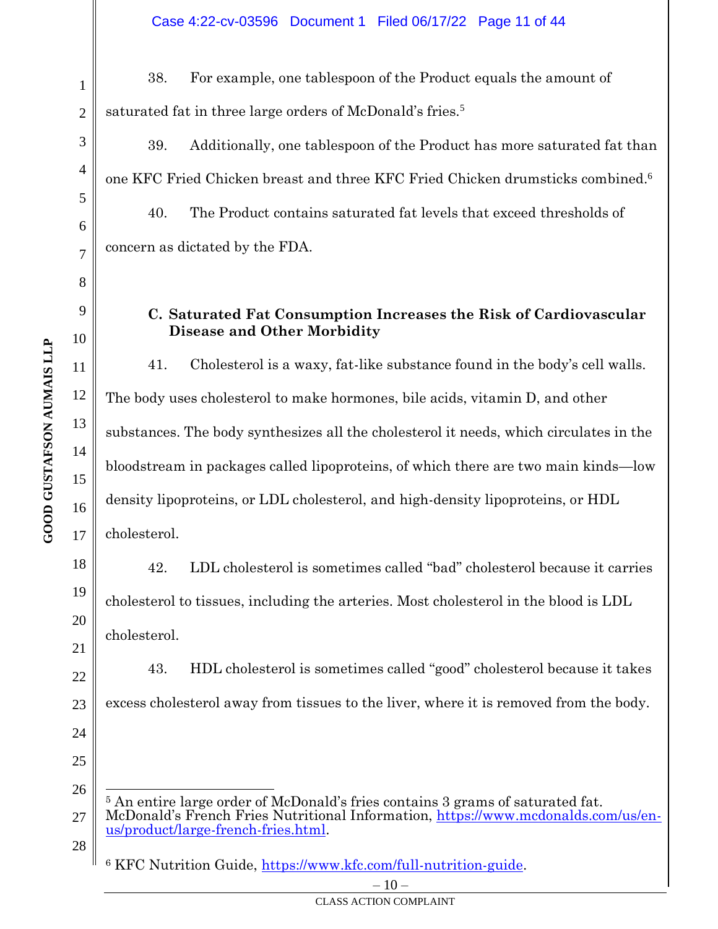38. For example, one tablespoon of the Product equals the amount of saturated fat in three large orders of McDonald's fries.<sup>5</sup>

39. Additionally, one tablespoon of the Product has more saturated fat than one KFC Fried Chicken breast and three KFC Fried Chicken drumsticks combined. 6 40. The Product contains saturated fat levels that exceed thresholds of concern as dictated by the FDA.

# **C. Saturated Fat Consumption Increases the Risk of Cardiovascular Disease and Other Morbidity**

41. Cholesterol is a waxy, fat-like substance found in the body's cell walls. The body uses cholesterol to make hormones, bile acids, vitamin D, and other substances. The body synthesizes all the cholesterol it needs, which circulates in the bloodstream in packages called lipoproteins, of which there are two main kinds—low density lipoproteins, or LDL cholesterol, and high-density lipoproteins, or HDL cholesterol.

42. LDL cholesterol is sometimes called "bad" cholesterol because it carries cholesterol to tissues, including the arteries. Most cholesterol in the blood is LDL cholesterol.

43. HDL cholesterol is sometimes called "good" cholesterol because it takes excess cholesterol away from tissues to the liver, where it is removed from the body.

26 27 <sup>5</sup> An entire large order of McDonald's fries contains 3 grams of saturated fat. McDonald's French Fries Nutritional Information, [https://www.mcdonalds.com/us/en](https://www.mcdonalds.com/us/en-us/product/large-french-fries.html)[us/product/large-french-fries.html.](https://www.mcdonalds.com/us/en-us/product/large-french-fries.html)

28

<sup>6</sup> KFC Nutrition Guide, [https://www.kfc.com/full-nutrition-guide.](https://www.kfc.com/full-nutrition-guide)

1

2

3

4

5

6

7

8

9

10

11

12

13

14

15

16

17

18

19

20

21

22

23

24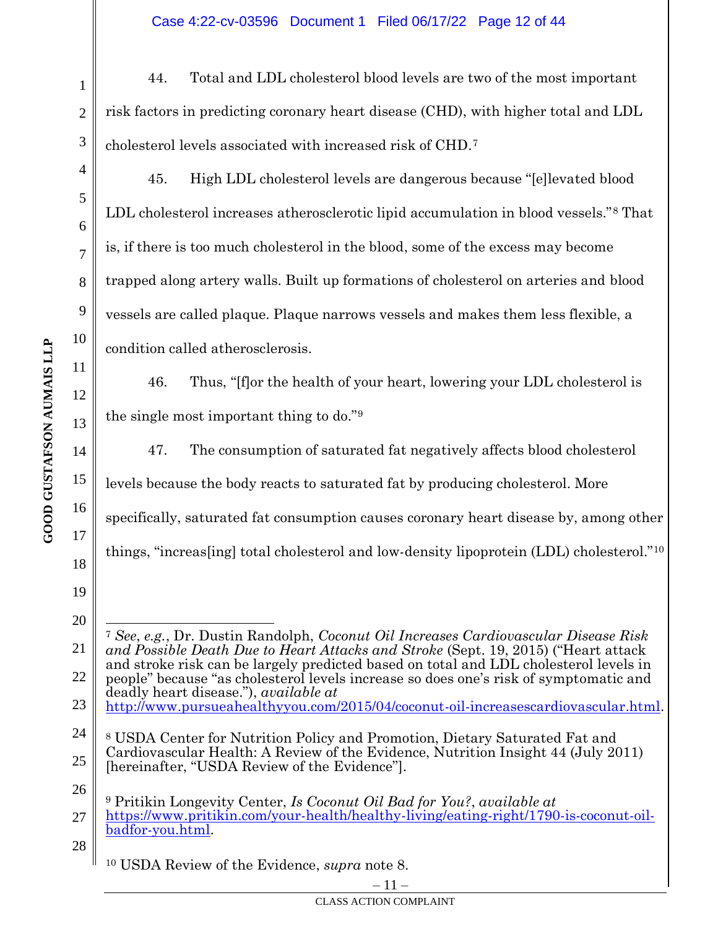44. Total and LDL cholesterol blood levels are two of the most important risk factors in predicting coronary heart disease (CHD), with higher total and LDL cholesterol levels associated with increased risk of CHD.<sup>7</sup>

45. High LDL cholesterol levels are dangerous because "[e]levated blood LDL cholesterol increases atherosclerotic lipid accumulation in blood vessels."<sup>8</sup> That is, if there is too much cholesterol in the blood, some of the excess may become trapped along artery walls. Built up formations of cholesterol on arteries and blood vessels are called plaque. Plaque narrows vessels and makes them less flexible, a condition called atherosclerosis.

46. Thus, "[f]or the health of your heart, lowering your LDL cholesterol is the single most important thing to do."<sup>9</sup>

47. The consumption of saturated fat negatively affects blood cholesterol levels because the body reacts to saturated fat by producing cholesterol. More specifically, saturated fat consumption causes coronary heart disease by, among other things, "increas[ing] total cholesterol and low-density lipoprotein (LDL) cholesterol."<sup>10</sup>

21 22 <sup>7</sup> *See*, *e.g.*, Dr. Dustin Randolph, *Coconut Oil Increases Cardiovascular Disease Risk and Possible Death Due to Heart Attacks and Stroke* (Sept. 19, 2015) ("Heart attack and stroke risk can be largely predicted based on total and LDL cholesterol levels in people" because "as cholesterol levels increase so does one's risk of symptomatic and deadly heart disease."), *available at* 

- 23 [http://www.pursueahealthyyou.com/2015/04/coconut-oil-increasescardiovascular.html.](http://www.pursueahealthyyou.com/2015/04/coconut-oil-increasescardiovascular.html)
- 24 25 <sup>8</sup> USDA Center for Nutrition Policy and Promotion, Dietary Saturated Fat and Cardiovascular Health: A Review of the Evidence, Nutrition Insight 44 (July 2011) [hereinafter, "USDA Review of the Evidence"].
- 26 27 <sup>9</sup> Pritikin Longevity Center, *Is Coconut Oil Bad for You?*, *available at* [https://www.pritikin.com/your-health/healthy-living/eating-right/1790-is-coconut-oil](https://www.pritikin.com/your-health/healthy-living/eating-right/1790-is-coconut-oil-badfor-you.html)[badfor-you.html.](https://www.pritikin.com/your-health/healthy-living/eating-right/1790-is-coconut-oil-badfor-you.html)
- 28

1

2

3

4

5

6

7

8

9

10

11

12

13

14

15

16

17

18

19

<sup>10</sup> USDA Review of the Evidence, *supra* note 8.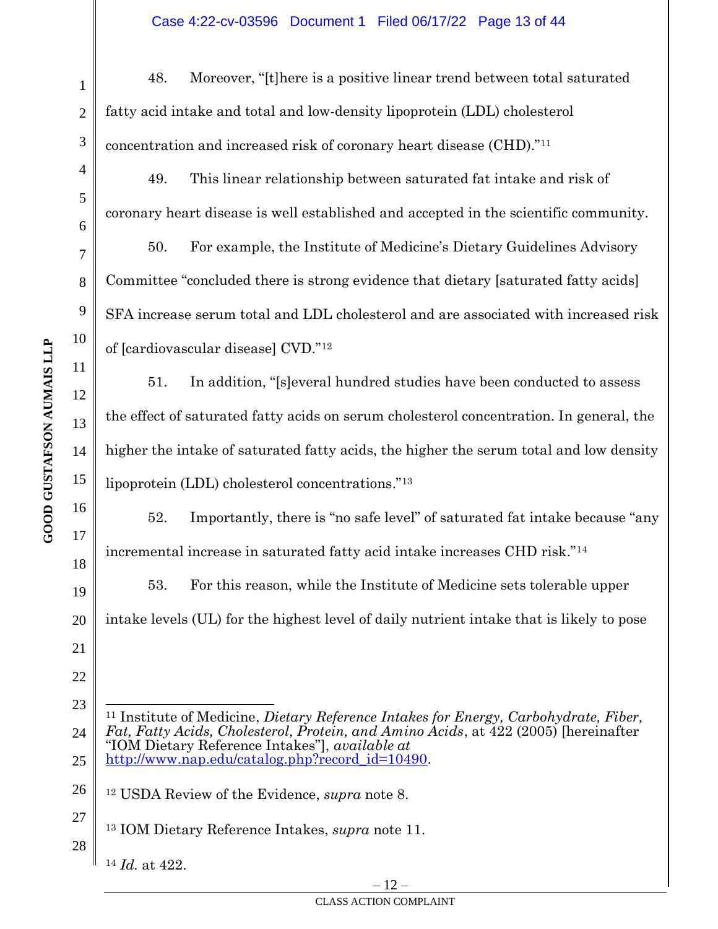48. Moreover, "[t]here is a positive linear trend between total saturated fatty acid intake and total and low-density lipoprotein (LDL) cholesterol concentration and increased risk of coronary heart disease (CHD)."<sup>11</sup>

49. This linear relationship between saturated fat intake and risk of coronary heart disease is well established and accepted in the scientific community.

50. For example, the Institute of Medicine's Dietary Guidelines Advisory Committee "concluded there is strong evidence that dietary [saturated fatty acids] SFA increase serum total and LDL cholesterol and are associated with increased risk of [cardiovascular disease] CVD."<sup>12</sup>

51. In addition, "[s]everal hundred studies have been conducted to assess the effect of saturated fatty acids on serum cholesterol concentration. In general, the higher the intake of saturated fatty acids, the higher the serum total and low density lipoprotein (LDL) cholesterol concentrations."<sup>13</sup>

52. Importantly, there is "no safe level" of saturated fat intake because "any incremental increase in saturated fatty acid intake increases CHD risk."<sup>14</sup>

53. For this reason, while the Institute of Medicine sets tolerable upper intake levels (UL) for the highest level of daily nutrient intake that is likely to pose

- 23 24 25 <sup>11</sup> Institute of Medicine, *Dietary Reference Intakes for Energy, Carbohydrate, Fiber, Fat, Fatty Acids, Cholesterol, Protein, and Amino Acids*, at 422 (2005) [hereinafter "IOM Dietary Reference Intakes"], *available at*  [http://www.nap.edu/catalog.php?record\\_id=10490.](http://www.nap.edu/catalog.php?record_id=10490)
- 26 <sup>12</sup> USDA Review of the Evidence, *supra* note 8.
- 27 28 <sup>13</sup> IOM Dietary Reference Intakes, *supra* note 11.
	- <sup>14</sup> *Id.* at 422.

1

2

3

4

5

6

7

8

9

10

11

12

13

14

15

16

17

18

19

20

21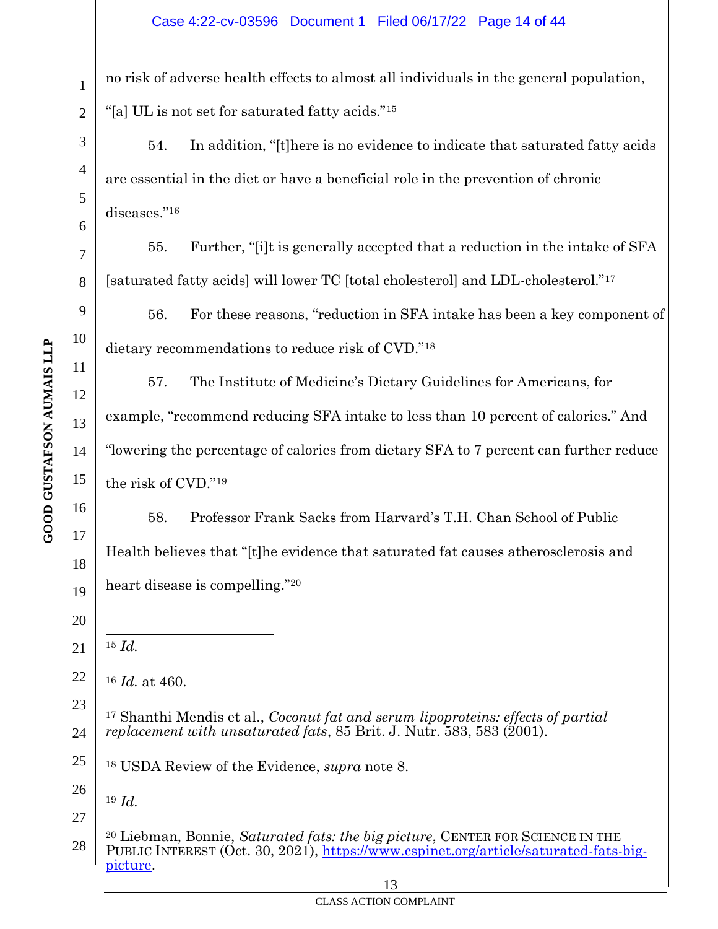no risk of adverse health effects to almost all individuals in the general population, "[a] UL is not set for saturated fatty acids."<sup>15</sup>

54. In addition, "[t]here is no evidence to indicate that saturated fatty acids are essential in the diet or have a beneficial role in the prevention of chronic diseases."<sup>16</sup>

55. Further, "[i]t is generally accepted that a reduction in the intake of SFA [saturated fatty acids] will lower TC [total cholesterol] and LDL-cholesterol."<sup>17</sup>

56. For these reasons, "reduction in SFA intake has been a key component of dietary recommendations to reduce risk of CVD."<sup>18</sup>

57. The Institute of Medicine's Dietary Guidelines for Americans, for example, "recommend reducing SFA intake to less than 10 percent of calories." And "lowering the percentage of calories from dietary SFA to 7 percent can further reduce the risk of CVD."<sup>19</sup>

58. Professor Frank Sacks from Harvard's T.H. Chan School of Public Health believes that "[t]he evidence that saturated fat causes atherosclerosis and heart disease is compelling."20

21 <sup>15</sup> *Id.*

22

23

24

26

27

<sup>16</sup> *Id.* at 460.

<sup>17</sup> Shanthi Mendis et al., *Coconut fat and serum lipoproteins: effects of partial replacement with unsaturated fats*, 85 Brit. J. Nutr. 583, 583 (2001).

25 <sup>18</sup> USDA Review of the Evidence, *supra* note 8.

<sup>19</sup> *Id.*

28 <sup>20</sup> Liebman, Bonnie, *Saturated fats: the big picture*, CENTER FOR SCIENCE IN THE PUBLIC INTEREST (Oct. 30, 2021), [https://www.cspinet.org/article/saturated-fats-big](https://www.cspinet.org/article/saturated-fats-big-picture)[picture.](https://www.cspinet.org/article/saturated-fats-big-picture)

**GOOD GUSTAFSON AUMAIS LLP** 

1

2

3

4

5

6

7

8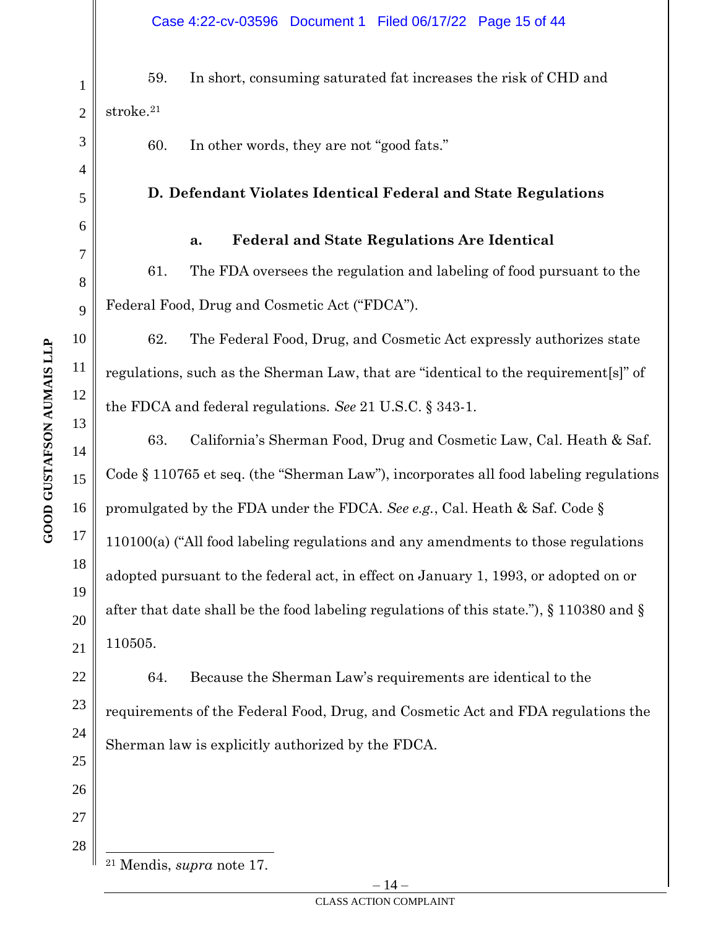59. In short, consuming saturated fat increases the risk of CHD and stroke.<sup>21</sup>

60. In other words, they are not "good fats."

# **D. Defendant Violates Identical Federal and State Regulations**

#### **a. Federal and State Regulations Are Identical**

61. The FDA oversees the regulation and labeling of food pursuant to the Federal Food, Drug and Cosmetic Act ("FDCA").

62. The Federal Food, Drug, and Cosmetic Act expressly authorizes state regulations, such as the Sherman Law, that are "identical to the requirement[s]" of the FDCA and federal regulations. *See* 21 U.S.C. § 343-1.

63. California's Sherman Food, Drug and Cosmetic Law, Cal. Heath & Saf. Code § 110765 et seq. (the "Sherman Law"), incorporates all food labeling regulations promulgated by the FDA under the FDCA. *See e.g.*, Cal. Heath & Saf. Code § 110100(a) ("All food labeling regulations and any amendments to those regulations adopted pursuant to the federal act, in effect on January 1, 1993, or adopted on or after that date shall be the food labeling regulations of this state."), § 110380 and § 110505.

64. Because the Sherman Law's requirements are identical to the requirements of the Federal Food, Drug, and Cosmetic Act and FDA regulations the Sherman law is explicitly authorized by the FDCA.

1

2

3

4

5

6

7

8

9

10

11

12

13

14

15

16

17

18

19

20

21

22

23

24

25

26

27

<sup>21</sup> Mendis, *supra* note 17.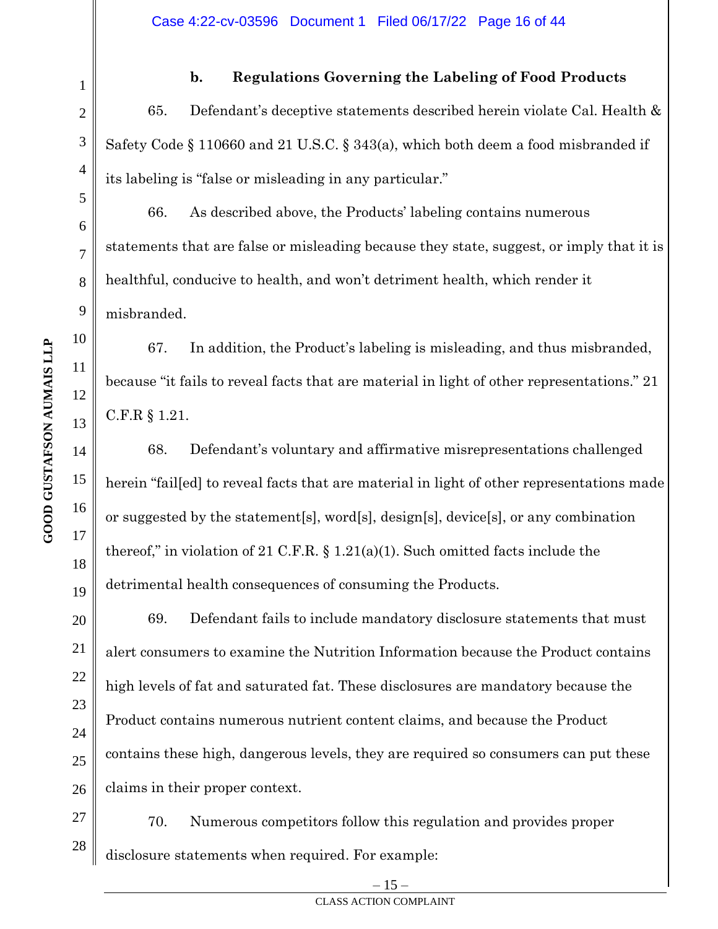**b. Regulations Governing the Labeling of Food Products**

65. Defendant's deceptive statements described herein violate Cal. Health & Safety Code § 110660 and 21 U.S.C. § 343(a), which both deem a food misbranded if its labeling is "false or misleading in any particular."

66. As described above, the Products' labeling contains numerous statements that are false or misleading because they state, suggest, or imply that it is healthful, conducive to health, and won't detriment health, which render it misbranded.

67. In addition, the Product's labeling is misleading, and thus misbranded, because "it fails to reveal facts that are material in light of other representations." 21 C.F.R § 1.21.

68. Defendant's voluntary and affirmative misrepresentations challenged herein "fail[ed] to reveal facts that are material in light of other representations made or suggested by the statement[s], word[s], design[s], device[s], or any combination thereof," in violation of 21 C.F.R.  $\S 1.21(a)(1)$ . Such omitted facts include the detrimental health consequences of consuming the Products.

69. Defendant fails to include mandatory disclosure statements that must alert consumers to examine the Nutrition Information because the Product contains high levels of fat and saturated fat. These disclosures are mandatory because the Product contains numerous nutrient content claims, and because the Product contains these high, dangerous levels, they are required so consumers can put these claims in their proper context.

70. Numerous competitors follow this regulation and provides proper disclosure statements when required. For example:

1

2

3

4

5

6

7

8

9

10

11

12

13

14

15

16

17

18

19

20

21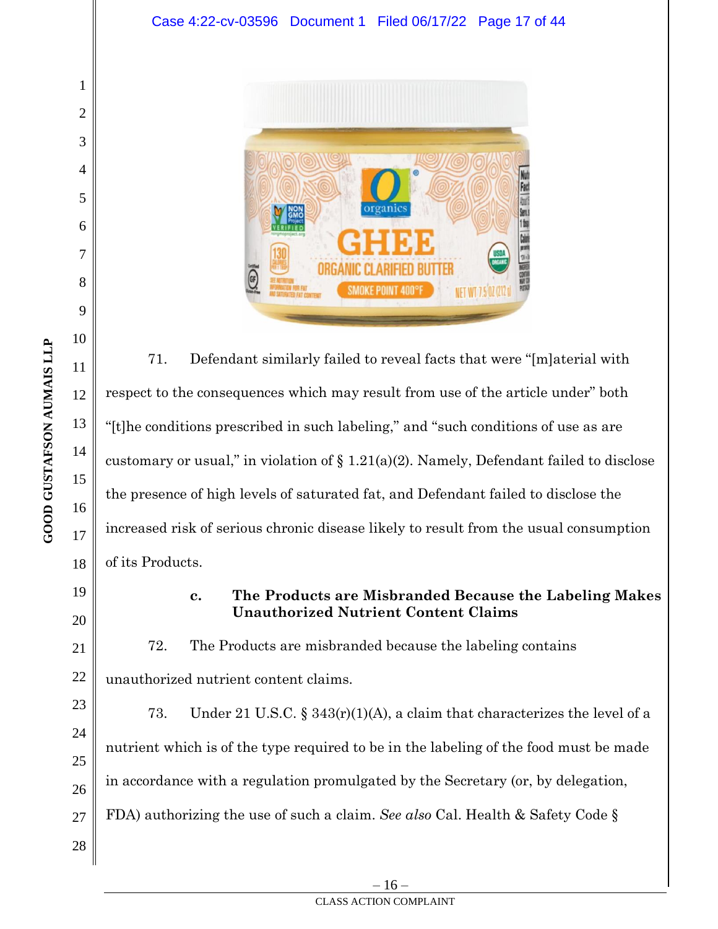

71. Defendant similarly failed to reveal facts that were "[m]aterial with respect to the consequences which may result from use of the article under" both "[t]he conditions prescribed in such labeling," and "such conditions of use as are customary or usual," in violation of  $\S 1.21(a)(2)$ . Namely, Defendant failed to disclose the presence of high levels of saturated fat, and Defendant failed to disclose the increased risk of serious chronic disease likely to result from the usual consumption of its Products.

# **c. The Products are Misbranded Because the Labeling Makes Unauthorized Nutrient Content Claims**

72. The Products are misbranded because the labeling contains unauthorized nutrient content claims.

73. Under 21 U.S.C. § 343(r)(1)(A), a claim that characterizes the level of a nutrient which is of the type required to be in the labeling of the food must be made in accordance with a regulation promulgated by the Secretary (or, by delegation, FDA) authorizing the use of such a claim. *See also* Cal. Health & Safety Code §

1

2

3

4

5

6

7

8

9

10

11

12

13

14

15

16

17

18

19

20

21

22

23

24

25

26

27

28

– 16 –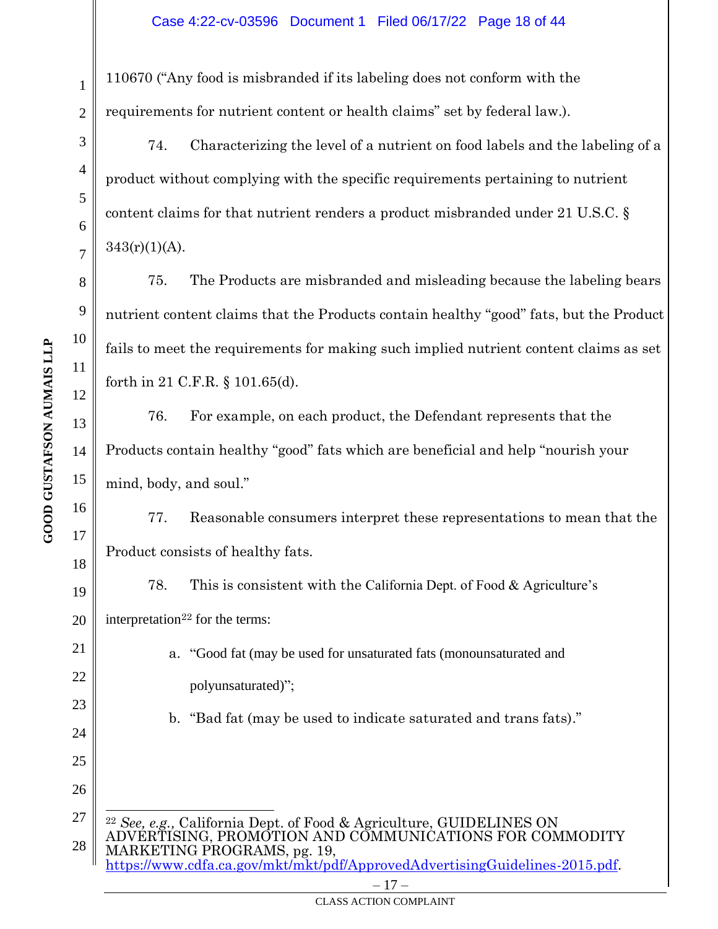110670 ("Any food is misbranded if its labeling does not conform with the requirements for nutrient content or health claims" set by federal law.).

74. Characterizing the level of a nutrient on food labels and the labeling of a product without complying with the specific requirements pertaining to nutrient content claims for that nutrient renders a product misbranded under 21 U.S.C. §  $343(r)(1)(A)$ .

75. The Products are misbranded and misleading because the labeling bears nutrient content claims that the Products contain healthy "good" fats, but the Product fails to meet the requirements for making such implied nutrient content claims as set forth in 21 C.F.R. § 101.65(d).

76. For example, on each product, the Defendant represents that the Products contain healthy "good" fats which are beneficial and help "nourish your mind, body, and soul."

77. Reasonable consumers interpret these representations to mean that the Product consists of healthy fats.

78. This is consistent with the California Dept. of Food & Agriculture's interpretation $22$  for the terms:

> a. "Good fat (may be used for unsaturated fats (monounsaturated and polyunsaturated)";

b. "Bad fat (may be used to indicate saturated and trans fats)."

27 28 <sup>22</sup> *See, e.g.,* California Dept. of Food & Agriculture, GUIDELINES ON ADVERTISING, PROMOTION AND COMMUNICATIONS FOR COMMODITY MARKETING PROGRAMS, pg. 19, [https://www.cdfa.ca.gov/mkt/mkt/pdf/ApprovedAdvertisingGuidelines-2015.pdf.](https://www.cdfa.ca.gov/mkt/mkt/pdf/ApprovedAdvertisingGuidelines-2015.pdf)

1

2

3

4

5

6

7

8

9

10

11

12

13

14

15

16

17

18

19

20

21

22

23

24

25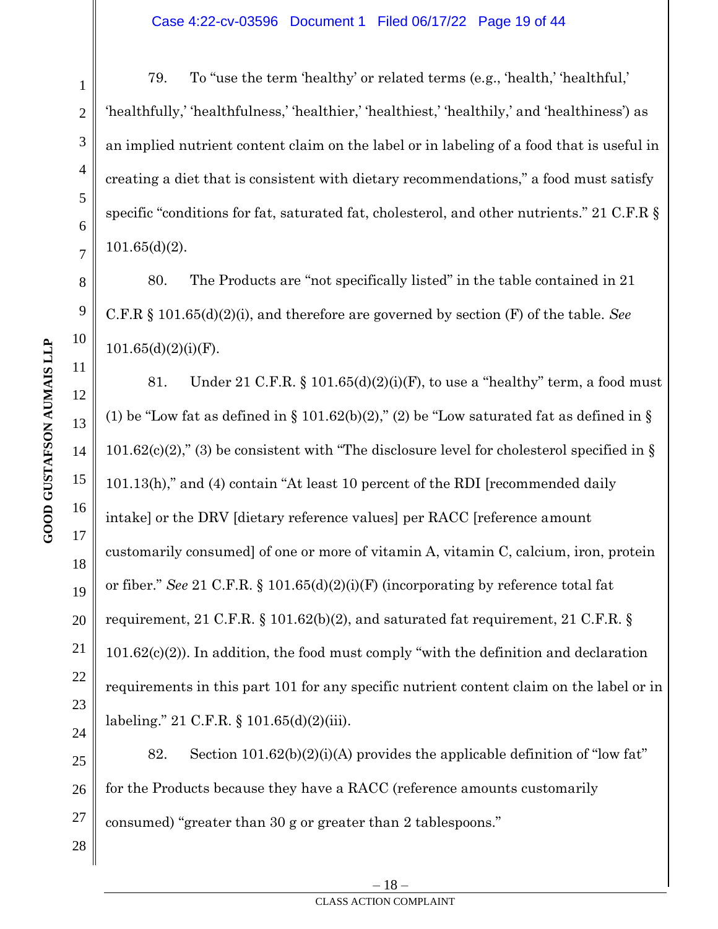79. To "use the term 'healthy' or related terms (e.g., 'health,' 'healthful,' 'healthfully,' 'healthfulness,' 'healthier,' 'healthiest,' 'healthily,' and 'healthiness') as an implied nutrient content claim on the label or in labeling of a food that is useful in creating a diet that is consistent with dietary recommendations," a food must satisfy specific "conditions for fat, saturated fat, cholesterol, and other nutrients." 21 C.F.R § 101.65(d)(2).

80. The Products are "not specifically listed" in the table contained in 21 C.F.R § 101.65(d)(2)(i), and therefore are governed by section (F) of the table. *See*  $101.65(d)(2)(i)(F)$ .

81. Under 21 C.F.R. § 101.65(d)(2)(i)(F), to use a "healthy" term, a food must (1) be "Low fat as defined in  $\S$  101.62(b)(2)," (2) be "Low saturated fat as defined in  $\S$ 101.62 $(c)(2)$ ," (3) be consistent with "The disclosure level for cholesterol specified in § 101.13(h)," and (4) contain "At least 10 percent of the RDI [recommended daily intake] or the DRV [dietary reference values] per RACC [reference amount customarily consumed] of one or more of vitamin A, vitamin C, calcium, iron, protein or fiber." *See* 21 C.F.R. § 101.65(d)(2)(i)(F) (incorporating by reference total fat requirement, 21 C.F.R. § 101.62(b)(2), and saturated fat requirement, 21 C.F.R. § 101.62(c)(2)). In addition, the food must comply "with the definition and declaration requirements in this part 101 for any specific nutrient content claim on the label or in labeling." 21 C.F.R. § 101.65(d)(2)(iii).

25 26 27 82. Section  $101.62(b)(2)(i)(A)$  provides the applicable definition of "low fat" for the Products because they have a RACC (reference amounts customarily consumed) "greater than 30 g or greater than 2 tablespoons."

1

2

3

4

5

6

7

8

9

10

11

12

13

14

15

16

17

18

19

20

21

22

23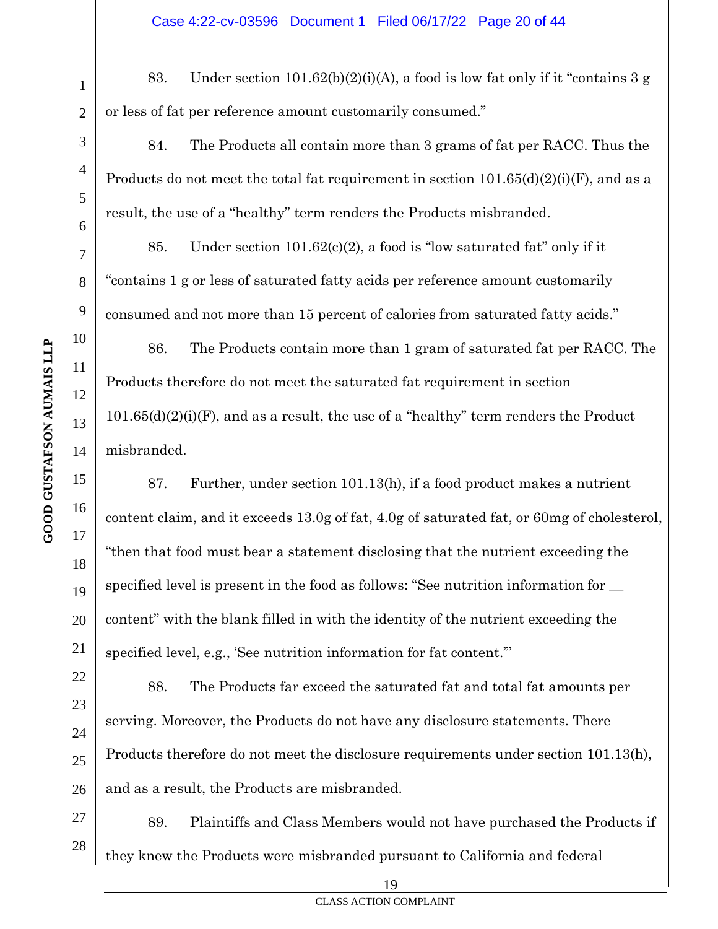83. Under section 101.62(b)(2)(i)(A), a food is low fat only if it "contains 3 g or less of fat per reference amount customarily consumed."

84. The Products all contain more than 3 grams of fat per RACC. Thus the Products do not meet the total fat requirement in section  $101.65(d)(2)(i)(F)$ , and as a result, the use of a "healthy" term renders the Products misbranded.

85. Under section  $101.62(c)(2)$ , a food is "low saturated fat" only if it "contains 1 g or less of saturated fatty acids per reference amount customarily consumed and not more than 15 percent of calories from saturated fatty acids."

86. The Products contain more than 1 gram of saturated fat per RACC. The Products therefore do not meet the saturated fat requirement in section 101.65(d)(2)(i)(F), and as a result, the use of a "healthy" term renders the Product misbranded.

87. Further, under section 101.13(h), if a food product makes a nutrient content claim, and it exceeds 13.0g of fat, 4.0g of saturated fat, or 60mg of cholesterol, "then that food must bear a statement disclosing that the nutrient exceeding the specified level is present in the food as follows: "See nutrition information for  $\equiv$ content" with the blank filled in with the identity of the nutrient exceeding the specified level, e.g., 'See nutrition information for fat content.'"

88. The Products far exceed the saturated fat and total fat amounts per serving. Moreover, the Products do not have any disclosure statements. There Products therefore do not meet the disclosure requirements under section 101.13(h), and as a result, the Products are misbranded.

27 28 89. Plaintiffs and Class Members would not have purchased the Products if they knew the Products were misbranded pursuant to California and federal

1

2

3

4

5

6

7

8

9

11

14

19

20

21

22

23

24

25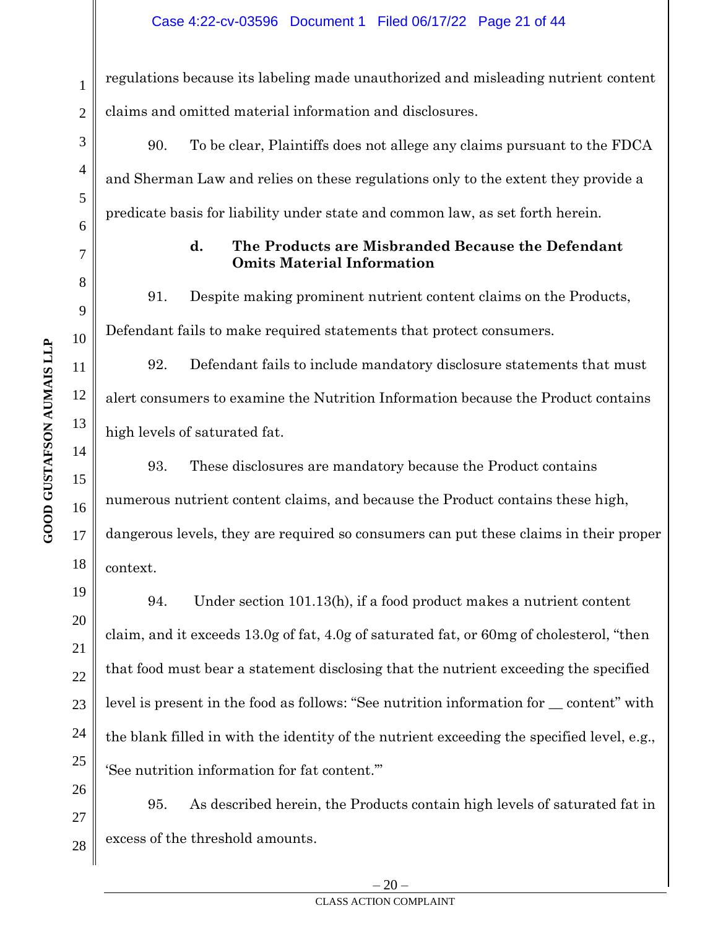regulations because its labeling made unauthorized and misleading nutrient content claims and omitted material information and disclosures.

90. To be clear, Plaintiffs does not allege any claims pursuant to the FDCA and Sherman Law and relies on these regulations only to the extent they provide a predicate basis for liability under state and common law, as set forth herein.

# **d. The Products are Misbranded Because the Defendant Omits Material Information**

91. Despite making prominent nutrient content claims on the Products, Defendant fails to make required statements that protect consumers.

92. Defendant fails to include mandatory disclosure statements that must alert consumers to examine the Nutrition Information because the Product contains high levels of saturated fat.

93. These disclosures are mandatory because the Product contains numerous nutrient content claims, and because the Product contains these high, dangerous levels, they are required so consumers can put these claims in their proper context.

94. Under section 101.13(h), if a food product makes a nutrient content claim, and it exceeds 13.0g of fat, 4.0g of saturated fat, or 60mg of cholesterol, "then that food must bear a statement disclosing that the nutrient exceeding the specified level is present in the food as follows: "See nutrition information for \_\_ content" with the blank filled in with the identity of the nutrient exceeding the specified level, e.g., 'See nutrition information for fat content.'"

95. As described herein, the Products contain high levels of saturated fat in excess of the threshold amounts.

1

2

3

4

5

6

7

8

9

10

11

12

13

14

15

16

17

18

19

20

21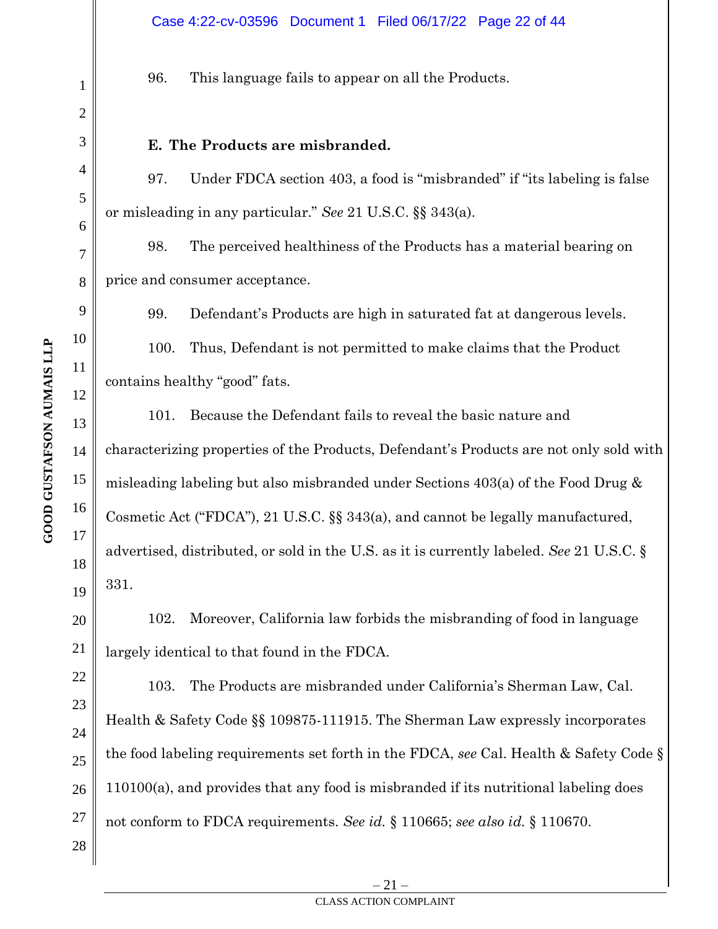96. This language fails to appear on all the Products.

#### **E. The Products are misbranded.**

97. Under FDCA section 403, a food is "misbranded" if "its labeling is false or misleading in any particular." *See* 21 U.S.C. §§ 343(a).

98. The perceived healthiness of the Products has a material bearing on price and consumer acceptance.

99. Defendant's Products are high in saturated fat at dangerous levels.

100. Thus, Defendant is not permitted to make claims that the Product contains healthy "good" fats.

101. Because the Defendant fails to reveal the basic nature and characterizing properties of the Products, Defendant's Products are not only sold with misleading labeling but also misbranded under Sections 403(a) of the Food Drug & Cosmetic Act ("FDCA"), 21 U.S.C. §§ 343(a), and cannot be legally manufactured, advertised, distributed, or sold in the U.S. as it is currently labeled. *See* 21 U.S.C. § 331.

102. Moreover, California law forbids the misbranding of food in language largely identical to that found in the FDCA.

103. The Products are misbranded under California's Sherman Law, Cal. Health & Safety Code §§ 109875-111915. The Sherman Law expressly incorporates the food labeling requirements set forth in the FDCA, *see* Cal. Health & Safety Code § 110100(a), and provides that any food is misbranded if its nutritional labeling does not conform to FDCA requirements. *See id.* § 110665; *see also id.* § 110670.

1

2

3

4

5

6

7

8

9

10

11

12

13

14

15

16

17

18

19

20

21

22

23

24

25

26

27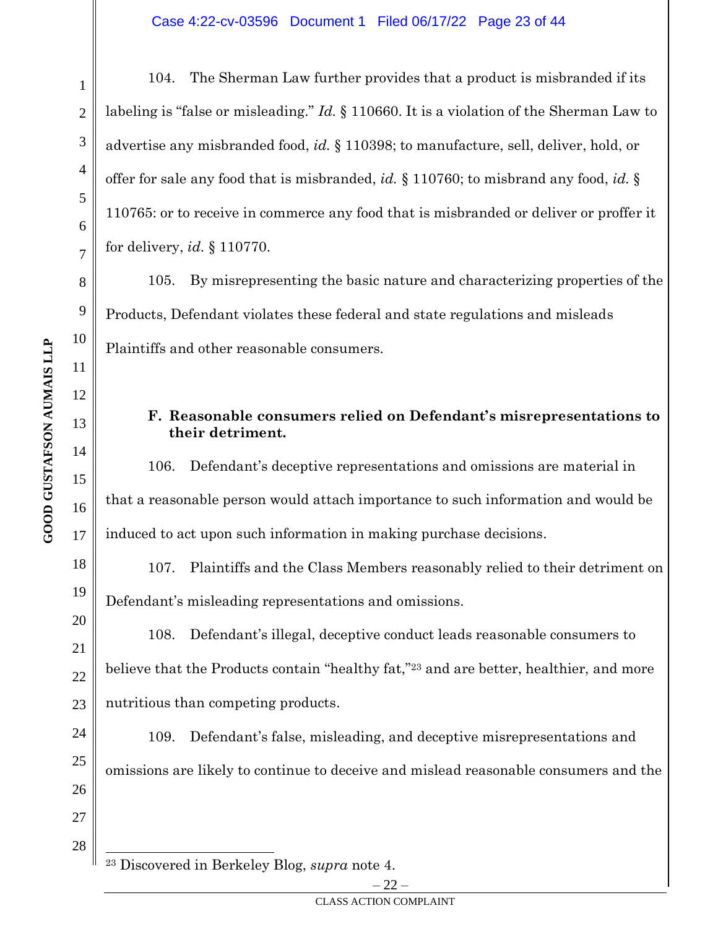104. The Sherman Law further provides that a product is misbranded if its labeling is "false or misleading." *Id.* § 110660. It is a violation of the Sherman Law to advertise any misbranded food, *id.* § 110398; to manufacture, sell, deliver, hold, or offer for sale any food that is misbranded, *id.* § 110760; to misbrand any food, *id.* § 110765: or to receive in commerce any food that is misbranded or deliver or proffer it for delivery, *id.* § 110770.

105. By misrepresenting the basic nature and characterizing properties of the Products, Defendant violates these federal and state regulations and misleads Plaintiffs and other reasonable consumers.

# **F. Reasonable consumers relied on Defendant's misrepresentations to their detriment.**

106. Defendant's deceptive representations and omissions are material in that a reasonable person would attach importance to such information and would be induced to act upon such information in making purchase decisions.

107. Plaintiffs and the Class Members reasonably relied to their detriment on Defendant's misleading representations and omissions.

108. Defendant's illegal, deceptive conduct leads reasonable consumers to believe that the Products contain "healthy fat,"<sup>23</sup> and are better, healthier, and more nutritious than competing products.

109. Defendant's false, misleading, and deceptive misrepresentations and omissions are likely to continue to deceive and mislead reasonable consumers and the

<sup>23</sup> Discovered in Berkeley Blog, *supra* note 4.

1

2

3

4

5

6

7

8

9

10

11

12

13

14

15

16

17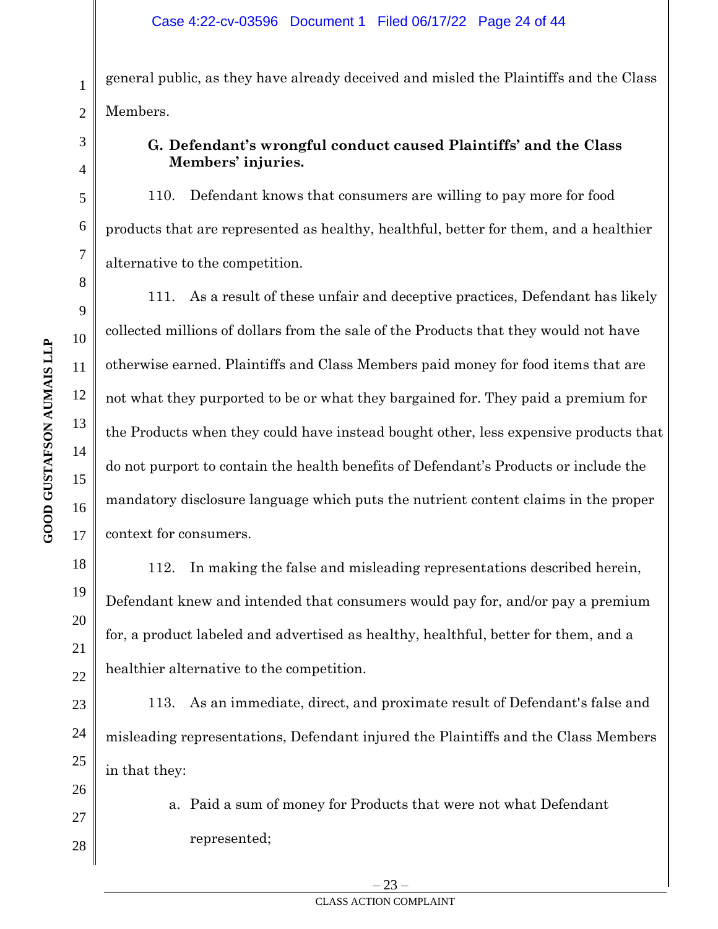general public, as they have already deceived and misled the Plaintiffs and the Class Members.

# **G. Defendant's wrongful conduct caused Plaintiffs' and the Class Members' injuries.**

110. Defendant knows that consumers are willing to pay more for food products that are represented as healthy, healthful, better for them, and a healthier alternative to the competition.

111. As a result of these unfair and deceptive practices, Defendant has likely collected millions of dollars from the sale of the Products that they would not have otherwise earned. Plaintiffs and Class Members paid money for food items that are not what they purported to be or what they bargained for. They paid a premium for the Products when they could have instead bought other, less expensive products that do not purport to contain the health benefits of Defendant's Products or include the mandatory disclosure language which puts the nutrient content claims in the proper context for consumers.

112. In making the false and misleading representations described herein, Defendant knew and intended that consumers would pay for, and/or pay a premium for, a product labeled and advertised as healthy, healthful, better for them, and a healthier alternative to the competition.

113. As an immediate, direct, and proximate result of Defendant's false and misleading representations, Defendant injured the Plaintiffs and the Class Members in that they:

> a. Paid a sum of money for Products that were not what Defendant represented;

1

2

3

4

5

6

7

8

9

10

11

12

13

14

15

16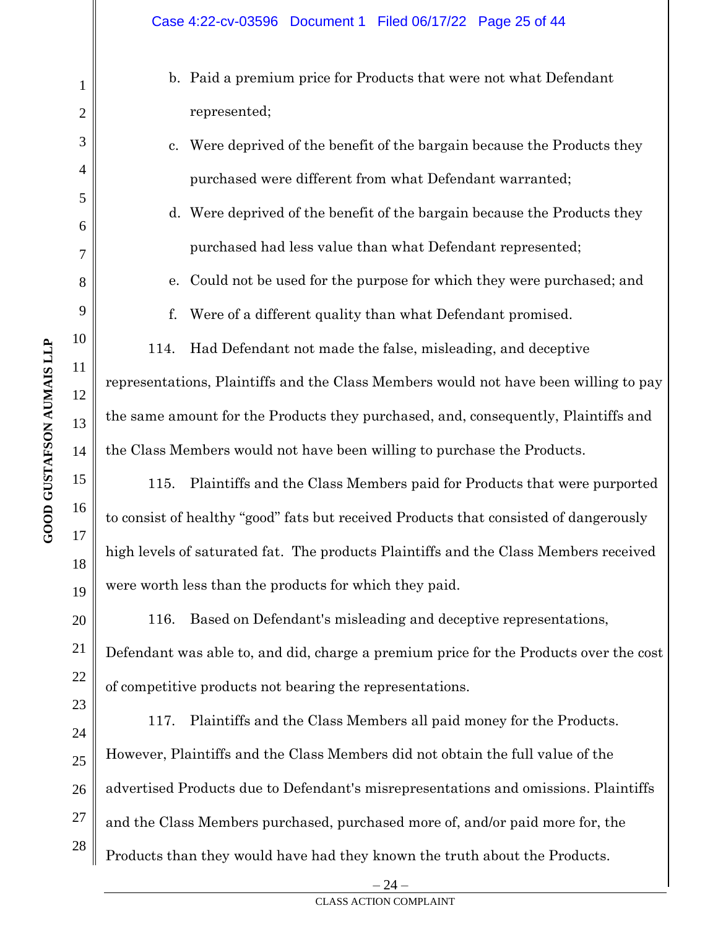- b. Paid a premium price for Products that were not what Defendant represented;
- c. Were deprived of the benefit of the bargain because the Products they purchased were different from what Defendant warranted;
- d. Were deprived of the benefit of the bargain because the Products they purchased had less value than what Defendant represented;
- e. Could not be used for the purpose for which they were purchased; and
- f. Were of a different quality than what Defendant promised.

114. Had Defendant not made the false, misleading, and deceptive representations, Plaintiffs and the Class Members would not have been willing to pay the same amount for the Products they purchased, and, consequently, Plaintiffs and the Class Members would not have been willing to purchase the Products.

115. Plaintiffs and the Class Members paid for Products that were purported to consist of healthy "good" fats but received Products that consisted of dangerously high levels of saturated fat. The products Plaintiffs and the Class Members received were worth less than the products for which they paid.

116. Based on Defendant's misleading and deceptive representations, Defendant was able to, and did, charge a premium price for the Products over the cost of competitive products not bearing the representations.

24 25 26 27 28 117. Plaintiffs and the Class Members all paid money for the Products. However, Plaintiffs and the Class Members did not obtain the full value of the advertised Products due to Defendant's misrepresentations and omissions. Plaintiffs and the Class Members purchased, purchased more of, and/or paid more for, the Products than they would have had they known the truth about the Products.

1

2

3

4

5

6

7

8

9

10

11

12

13

14

15

16

17

18

19

20

21

22

23

 $24 -$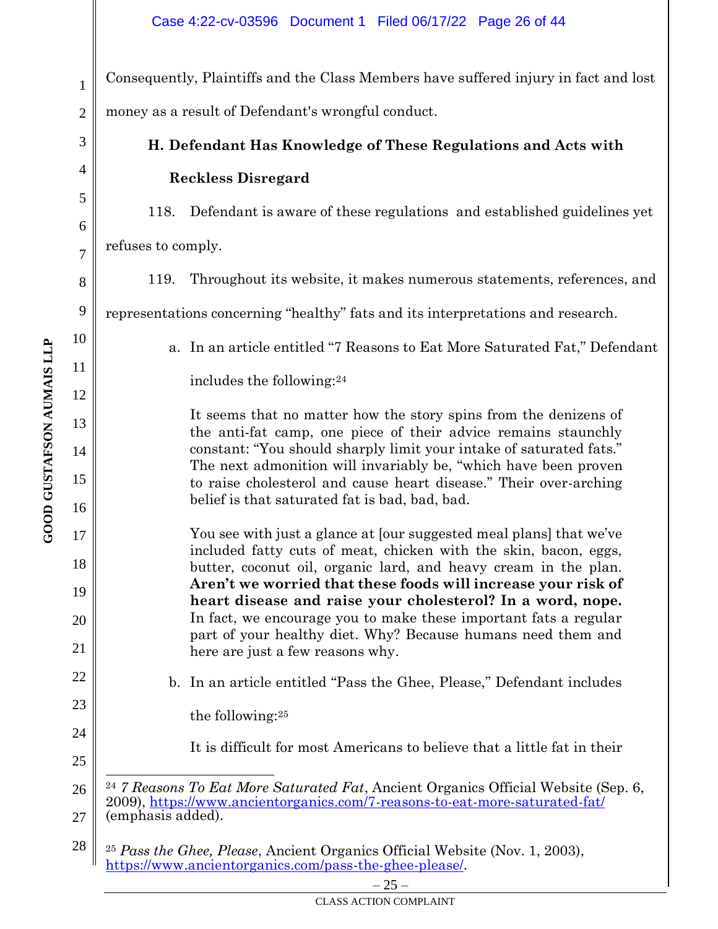Consequently, Plaintiffs and the Class Members have suffered injury in fact and lost money as a result of Defendant's wrongful conduct.

# **H. Defendant Has Knowledge of These Regulations and Acts with Reckless Disregard**

118. Defendant is aware of these regulations and established guidelines yet

refuses to comply.

119. Throughout its website, it makes numerous statements, references, and

representations concerning "healthy" fats and its interpretations and research.

a. In an article entitled "7 Reasons to Eat More Saturated Fat," Defendant includes the following:<sup>24</sup>

It seems that no matter how the story spins from the denizens of the anti-fat camp, one piece of their advice remains staunchly constant: "You should sharply limit your intake of saturated fats." The next admonition will invariably be, "which have been proven to raise cholesterol and cause heart disease." Their over-arching belief is that saturated fat is bad, bad, bad.

You see with just a glance at [our suggested meal plans] that we've included fatty cuts of meat, chicken with the skin, bacon, eggs, butter, coconut oil, organic lard, and heavy cream in the plan. **Aren't we worried that these foods will increase your risk of heart disease and raise your cholesterol? In a word, nope.** In fact, we encourage you to make these important fats a regular part of your healthy diet. Why? Because humans need them and here are just a few reasons why.

b. In an article entitled "Pass the Ghee, Please," Defendant includes

the following:<sup>25</sup>

It is difficult for most Americans to believe that a little fat in their

1

2

3

4

5

6

7

8

9

10

11

12

13

14

15

16

17

18

19

20

21

22

23

24

<sup>26</sup> 27 <sup>24</sup> *7 Reasons To Eat More Saturated Fat*, Ancient Organics Official Website (Sep. 6, 2009),<https://www.ancientorganics.com/7-reasons-to-eat-more-saturated-fat/> (emphasis added).

<sup>28</sup> <sup>25</sup> *Pass the Ghee, Please*, Ancient Organics Official Website (Nov. 1, 2003), [https://www.ancientorganics.com/pass-the-ghee-please/.](https://www.ancientorganics.com/pass-the-ghee-please/)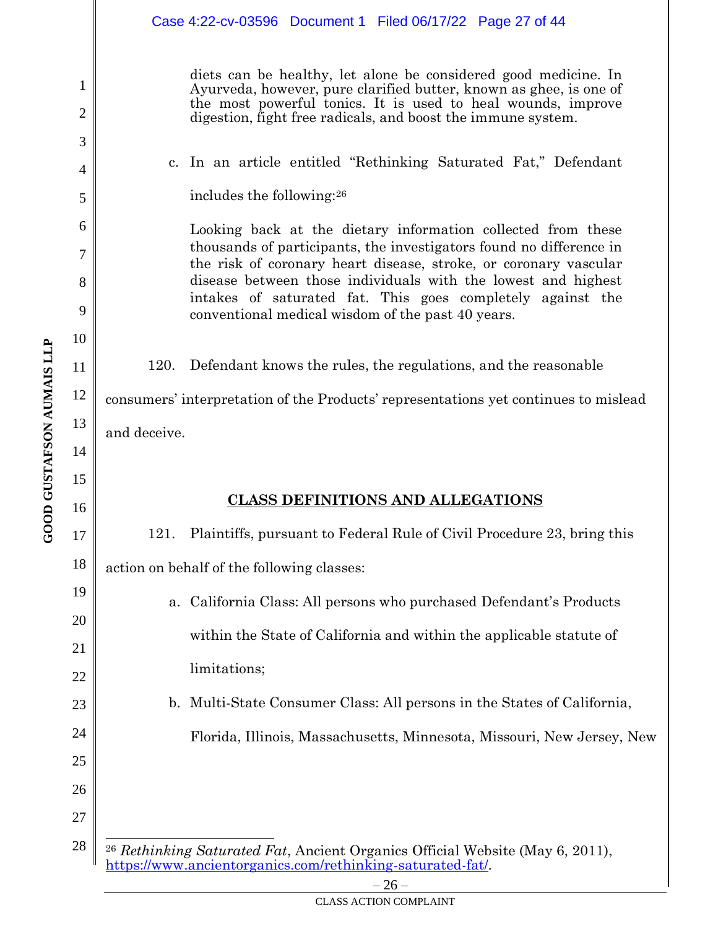|          |                                                                                     | Case 4:22-cv-03596  Document 1  Filed 06/17/22  Page 27 of 44                                                                                                                                                                                                         |
|----------|-------------------------------------------------------------------------------------|-----------------------------------------------------------------------------------------------------------------------------------------------------------------------------------------------------------------------------------------------------------------------|
| 1<br>2   |                                                                                     | diets can be healthy, let alone be considered good medicine. In<br>Ayurveda, however, pure clarified butter, known as ghee, is one of<br>the most powerful tonics. It is used to heal wounds, improve<br>digestion, fight free radicals, and boost the immune system. |
| 3        |                                                                                     | c. In an article entitled "Rethinking Saturated Fat," Defendant                                                                                                                                                                                                       |
| 4        |                                                                                     | includes the following: <sup>26</sup>                                                                                                                                                                                                                                 |
| 5        |                                                                                     |                                                                                                                                                                                                                                                                       |
| 6<br>7   |                                                                                     | Looking back at the dietary information collected from these<br>thousands of participants, the investigators found no difference in                                                                                                                                   |
| 8        |                                                                                     | the risk of coronary heart disease, stroke, or coronary vascular<br>disease between those individuals with the lowest and highest                                                                                                                                     |
| 9        |                                                                                     | intakes of saturated fat. This goes completely against the<br>conventional medical wisdom of the past 40 years.                                                                                                                                                       |
| 10       |                                                                                     |                                                                                                                                                                                                                                                                       |
| 11       | 120.                                                                                | Defendant knows the rules, the regulations, and the reasonable                                                                                                                                                                                                        |
| 12       | consumers' interpretation of the Products' representations yet continues to mislead |                                                                                                                                                                                                                                                                       |
| 13       | and deceive.                                                                        |                                                                                                                                                                                                                                                                       |
| 14       |                                                                                     |                                                                                                                                                                                                                                                                       |
| 15       |                                                                                     | <b>CLASS DEFINITIONS AND ALLEGATIONS</b>                                                                                                                                                                                                                              |
| 16       |                                                                                     |                                                                                                                                                                                                                                                                       |
| 17       | 121.                                                                                | Plaintiffs, pursuant to Federal Rule of Civil Procedure 23, bring this                                                                                                                                                                                                |
| 18       |                                                                                     | action on behalf of the following classes:                                                                                                                                                                                                                            |
| 19       | a.                                                                                  | California Class: All persons who purchased Defendant's Products                                                                                                                                                                                                      |
| 20       |                                                                                     | within the State of California and within the applicable statute of                                                                                                                                                                                                   |
| 21<br>22 |                                                                                     | limitations;                                                                                                                                                                                                                                                          |
| 23       |                                                                                     | b. Multi-State Consumer Class: All persons in the States of California,                                                                                                                                                                                               |
| 24       |                                                                                     |                                                                                                                                                                                                                                                                       |
| 25       |                                                                                     | Florida, Illinois, Massachusetts, Minnesota, Missouri, New Jersey, New                                                                                                                                                                                                |
| 26       |                                                                                     |                                                                                                                                                                                                                                                                       |
| 27       |                                                                                     |                                                                                                                                                                                                                                                                       |
|          |                                                                                     |                                                                                                                                                                                                                                                                       |
| 28       |                                                                                     | <sup>26</sup> Rethinking Saturated Fat, Ancient Organics Official Website (May 6, 2011),                                                                                                                                                                              |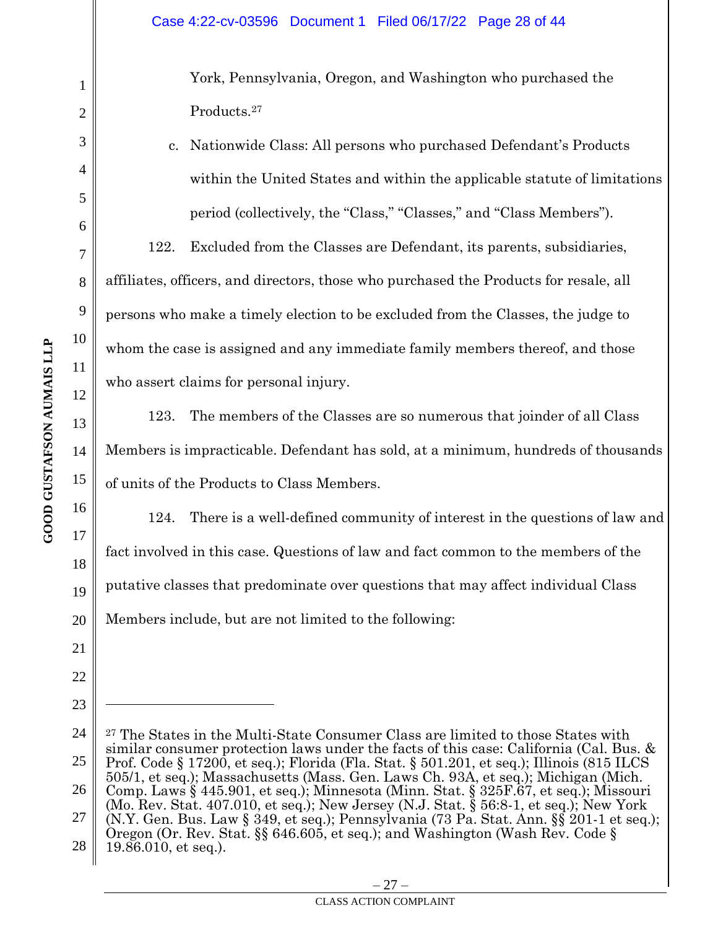York, Pennsylvania, Oregon, and Washington who purchased the Products.<sup>27</sup>

c. Nationwide Class: All persons who purchased Defendant's Products within the United States and within the applicable statute of limitations period (collectively, the "Class," "Classes," and "Class Members").

122. Excluded from the Classes are Defendant, its parents, subsidiaries, affiliates, officers, and directors, those who purchased the Products for resale, all persons who make a timely election to be excluded from the Classes, the judge to whom the case is assigned and any immediate family members thereof, and those who assert claims for personal injury.

123. The members of the Classes are so numerous that joinder of all Class Members is impracticable. Defendant has sold, at a minimum, hundreds of thousands of units of the Products to Class Members.

124. There is a well-defined community of interest in the questions of law and fact involved in this case. Questions of law and fact common to the members of the putative classes that predominate over questions that may affect individual Class Members include, but are not limited to the following:

1

2

3

4

5

6

7

8

9

10

11

12

13

14

15

16

17

18

19

20

21

22

<sup>24</sup> 25 26 27 28 <sup>27</sup> The States in the Multi-State Consumer Class are limited to those States with similar consumer protection laws under the facts of this case: California (Cal. Bus. & Prof. Code § 17200, et seq.); Florida (Fla. Stat. § 501.201, et seq.); Illinois (815 ILCS 505/1, et seq.); Massachusetts (Mass. Gen. Laws Ch. 93A, et seq.); Michigan (Mich. Comp. Laws § 445.901, et seq.); Minnesota (Minn. Stat. § 325F.67, et seq.); Missouri (Mo. Rev. Stat. 407.010, et seq.); New Jersey (N.J. Stat. § 56:8-1, et seq.); New York (N.Y. Gen. Bus. Law § 349, et seq.); Pennsylvania (73 Pa. Stat. Ann. §§ 201-1 et seq.); Oregon (Or. Rev. Stat. §§ 646.605, et seq.); and Washington (Wash Rev. Code § 19.86.010, et seq.).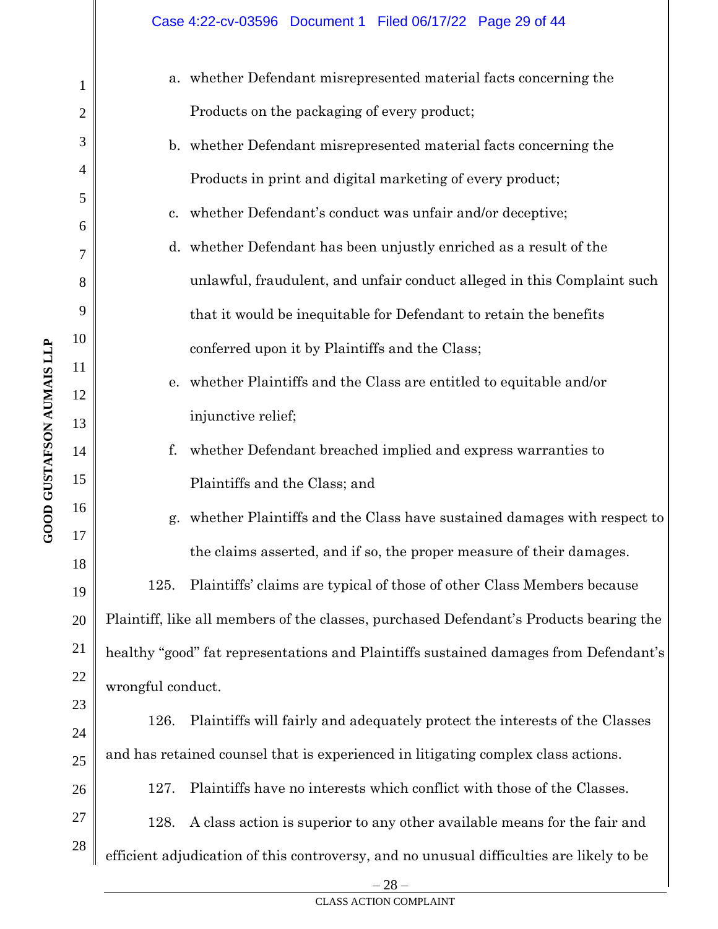| $\mathbf{1}$   |                                                                                      | a. whether Defendant misrepresented material facts concerning the                        |  |
|----------------|--------------------------------------------------------------------------------------|------------------------------------------------------------------------------------------|--|
| $\overline{2}$ |                                                                                      | Products on the packaging of every product;                                              |  |
| 3              |                                                                                      | b. whether Defendant misrepresented material facts concerning the                        |  |
| 4              |                                                                                      | Products in print and digital marketing of every product;                                |  |
| 5              | c.                                                                                   | whether Defendant's conduct was unfair and/or deceptive;                                 |  |
| 6              |                                                                                      | d. whether Defendant has been unjustly enriched as a result of the                       |  |
| 7<br>8         |                                                                                      | unlawful, fraudulent, and unfair conduct alleged in this Complaint such                  |  |
| 9              |                                                                                      | that it would be inequitable for Defendant to retain the benefits                        |  |
| 10             |                                                                                      |                                                                                          |  |
| 11             |                                                                                      | conferred upon it by Plaintiffs and the Class;                                           |  |
| 12             | e.                                                                                   | whether Plaintiffs and the Class are entitled to equitable and/or                        |  |
| 13             |                                                                                      | injunctive relief;                                                                       |  |
| 14             | f.                                                                                   | whether Defendant breached implied and express warranties to                             |  |
| 15             |                                                                                      | Plaintiffs and the Class; and                                                            |  |
| 16             | g.                                                                                   | whether Plaintiffs and the Class have sustained damages with respect to                  |  |
| 17<br>18       |                                                                                      | the claims asserted, and if so, the proper measure of their damages.                     |  |
| 19             | 125.                                                                                 | Plaintiffs' claims are typical of those of other Class Members because                   |  |
| 20             |                                                                                      | Plaintiff, like all members of the classes, purchased Defendant's Products bearing the   |  |
| 21             | healthy "good" fat representations and Plaintiffs sustained damages from Defendant's |                                                                                          |  |
| 22             | wrongful conduct.                                                                    |                                                                                          |  |
| 23             | 126.                                                                                 | Plaintiffs will fairly and adequately protect the interests of the Classes               |  |
| 24             |                                                                                      | and has retained counsel that is experienced in litigating complex class actions.        |  |
| 25             |                                                                                      |                                                                                          |  |
| 26             | 127.                                                                                 | Plaintiffs have no interests which conflict with those of the Classes.                   |  |
| 27<br>28       | 128.                                                                                 | A class action is superior to any other available means for the fair and                 |  |
|                |                                                                                      | efficient adjudication of this controversy, and no unusual difficulties are likely to be |  |

 $-28-$ CLASS ACTION COMPLAINT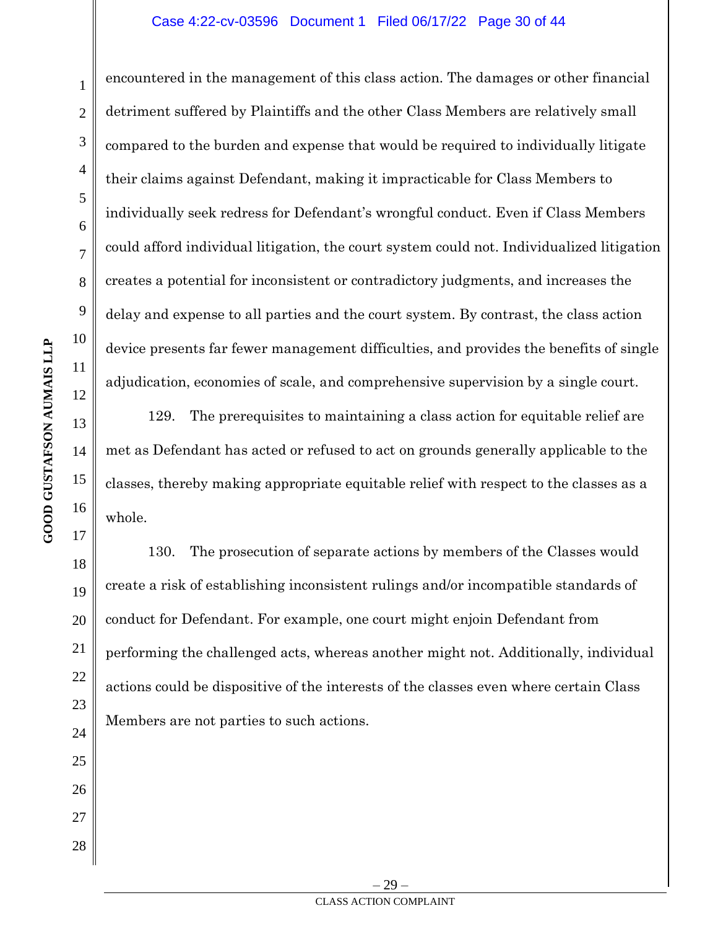#### Case 4:22-cv-03596 Document 1 Filed 06/17/22 Page 30 of 44

encountered in the management of this class action. The damages or other financial detriment suffered by Plaintiffs and the other Class Members are relatively small compared to the burden and expense that would be required to individually litigate their claims against Defendant, making it impracticable for Class Members to individually seek redress for Defendant's wrongful conduct. Even if Class Members could afford individual litigation, the court system could not. Individualized litigation creates a potential for inconsistent or contradictory judgments, and increases the delay and expense to all parties and the court system. By contrast, the class action device presents far fewer management difficulties, and provides the benefits of single adjudication, economies of scale, and comprehensive supervision by a single court.

129. The prerequisites to maintaining a class action for equitable relief are met as Defendant has acted or refused to act on grounds generally applicable to the classes, thereby making appropriate equitable relief with respect to the classes as a whole.

130. The prosecution of separate actions by members of the Classes would create a risk of establishing inconsistent rulings and/or incompatible standards of conduct for Defendant. For example, one court might enjoin Defendant from performing the challenged acts, whereas another might not. Additionally, individual actions could be dispositive of the interests of the classes even where certain Class Members are not parties to such actions.

1

2

3

4

5

6

7

8

9

10

11

12

13

14

15

16

17

18

19

20

21

22

23

24

25

26

27

28

– 29 – CLASS ACTION COMPLAINT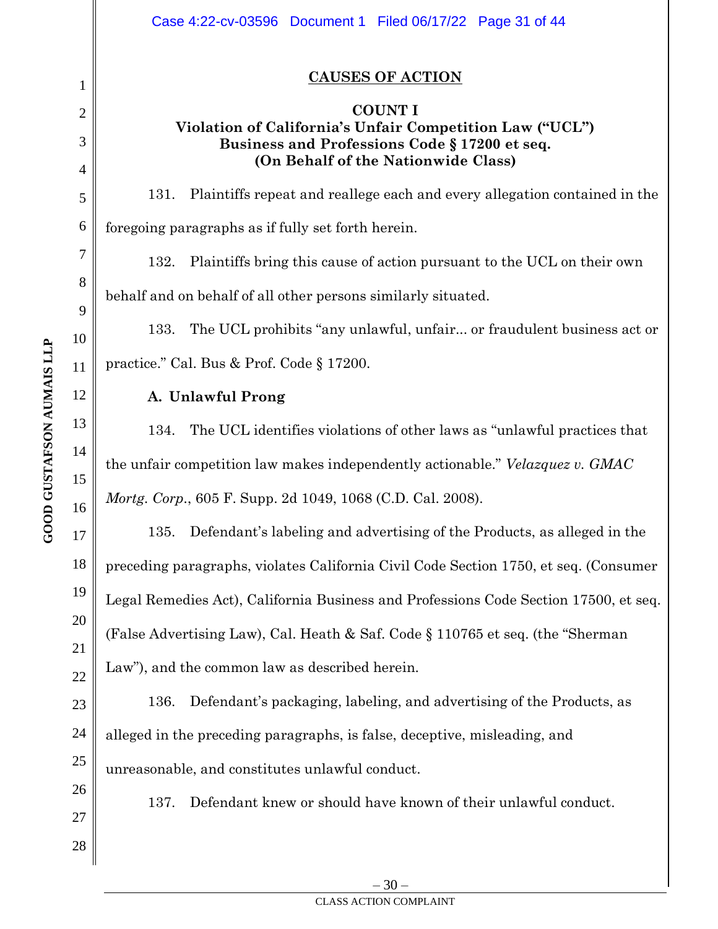1

**GOOD GUSTAFSON AUMAIS LLP**

**GOOD GUSTAFSON AUMAIS LLP** 

Case 4:22-cv-03596 Document 1 Filed 06/17/22 Page 31 of 44

# **CAUSES OF ACTION**

#### **COUNT I Violation of California's Unfair Competition Law ("UCL") Business and Professions Code § 17200 et seq. (On Behalf of the Nationwide Class)**

131. Plaintiffs repeat and reallege each and every allegation contained in the foregoing paragraphs as if fully set forth herein.

132. Plaintiffs bring this cause of action pursuant to the UCL on their own behalf and on behalf of all other persons similarly situated.

133. The UCL prohibits "any unlawful, unfair... or fraudulent business act or practice." Cal. Bus & Prof. Code § 17200.

# **A. Unlawful Prong**

134. The UCL identifies violations of other laws as "unlawful practices that the unfair competition law makes independently actionable." *Velazquez v. GMAC Mortg. Corp.*, 605 F. Supp. 2d 1049, 1068 (C.D. Cal. 2008).

135. Defendant's labeling and advertising of the Products, as alleged in the preceding paragraphs, violates California Civil Code Section 1750, et seq. (Consumer Legal Remedies Act), California Business and Professions Code Section 17500, et seq. (False Advertising Law), Cal. Heath & Saf. Code § 110765 et seq. (the "Sherman Law"), and the common law as described herein.

136. Defendant's packaging, labeling, and advertising of the Products, as alleged in the preceding paragraphs, is false, deceptive, misleading, and unreasonable, and constitutes unlawful conduct.

137. Defendant knew or should have known of their unlawful conduct.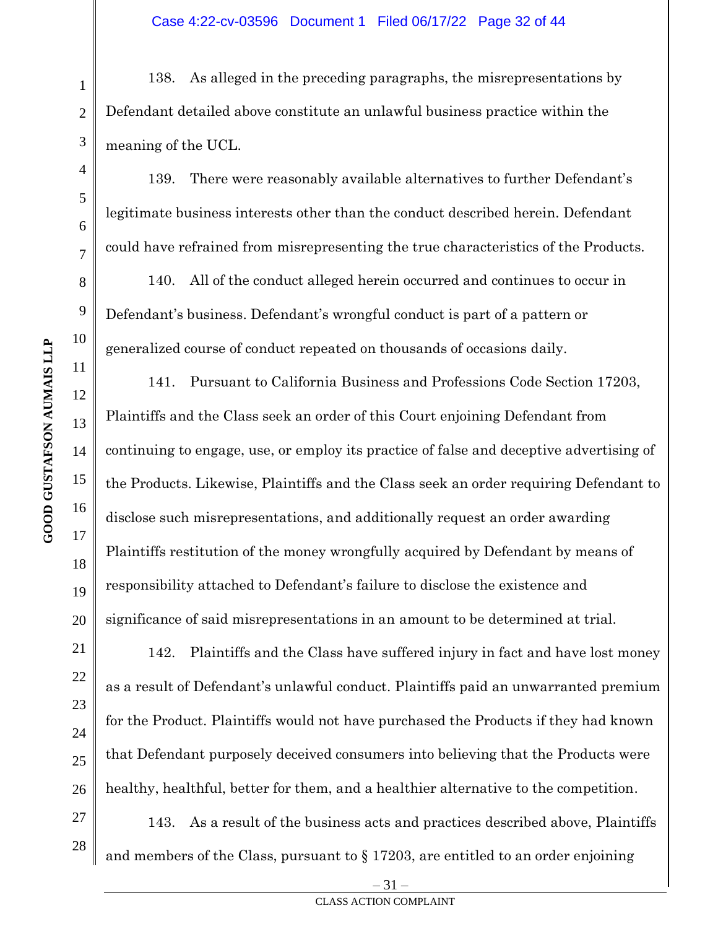138. As alleged in the preceding paragraphs, the misrepresentations by Defendant detailed above constitute an unlawful business practice within the meaning of the UCL.

139. There were reasonably available alternatives to further Defendant's legitimate business interests other than the conduct described herein. Defendant could have refrained from misrepresenting the true characteristics of the Products.

140. All of the conduct alleged herein occurred and continues to occur in Defendant's business. Defendant's wrongful conduct is part of a pattern or generalized course of conduct repeated on thousands of occasions daily.

141. Pursuant to California Business and Professions Code Section 17203, Plaintiffs and the Class seek an order of this Court enjoining Defendant from continuing to engage, use, or employ its practice of false and deceptive advertising of the Products. Likewise, Plaintiffs and the Class seek an order requiring Defendant to disclose such misrepresentations, and additionally request an order awarding Plaintiffs restitution of the money wrongfully acquired by Defendant by means of responsibility attached to Defendant's failure to disclose the existence and significance of said misrepresentations in an amount to be determined at trial.

142. Plaintiffs and the Class have suffered injury in fact and have lost money as a result of Defendant's unlawful conduct. Plaintiffs paid an unwarranted premium for the Product. Plaintiffs would not have purchased the Products if they had known that Defendant purposely deceived consumers into believing that the Products were healthy, healthful, better for them, and a healthier alternative to the competition.

143. As a result of the business acts and practices described above, Plaintiffs and members of the Class, pursuant to  $\S 17203$ , are entitled to an order enjoining

1

2

3

4

5

6

7

8

9

10

11

12

13

14

15

16

17

18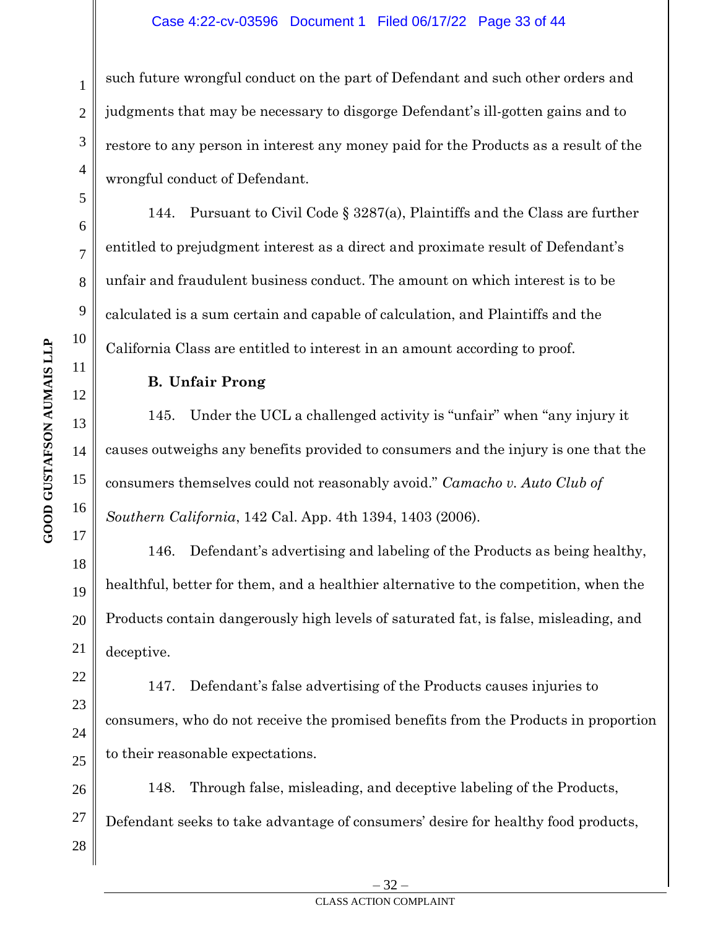#### Case 4:22-cv-03596 Document 1 Filed 06/17/22 Page 33 of 44

such future wrongful conduct on the part of Defendant and such other orders and judgments that may be necessary to disgorge Defendant's ill-gotten gains and to restore to any person in interest any money paid for the Products as a result of the wrongful conduct of Defendant.

144. Pursuant to Civil Code § 3287(a), Plaintiffs and the Class are further entitled to prejudgment interest as a direct and proximate result of Defendant's unfair and fraudulent business conduct. The amount on which interest is to be calculated is a sum certain and capable of calculation, and Plaintiffs and the California Class are entitled to interest in an amount according to proof.

# **B. Unfair Prong**

145. Under the UCL a challenged activity is "unfair" when "any injury it causes outweighs any benefits provided to consumers and the injury is one that the consumers themselves could not reasonably avoid." *Camacho v. Auto Club of Southern California*, 142 Cal. App. 4th 1394, 1403 (2006).

146. Defendant's advertising and labeling of the Products as being healthy, healthful, better for them, and a healthier alternative to the competition, when the Products contain dangerously high levels of saturated fat, is false, misleading, and deceptive.

147. Defendant's false advertising of the Products causes injuries to consumers, who do not receive the promised benefits from the Products in proportion to their reasonable expectations.

148. Through false, misleading, and deceptive labeling of the Products, Defendant seeks to take advantage of consumers' desire for healthy food products,

1

2

3

4

5

6

7

8

9

10

11

12

13

14

15

16

17

18

19

20

21

22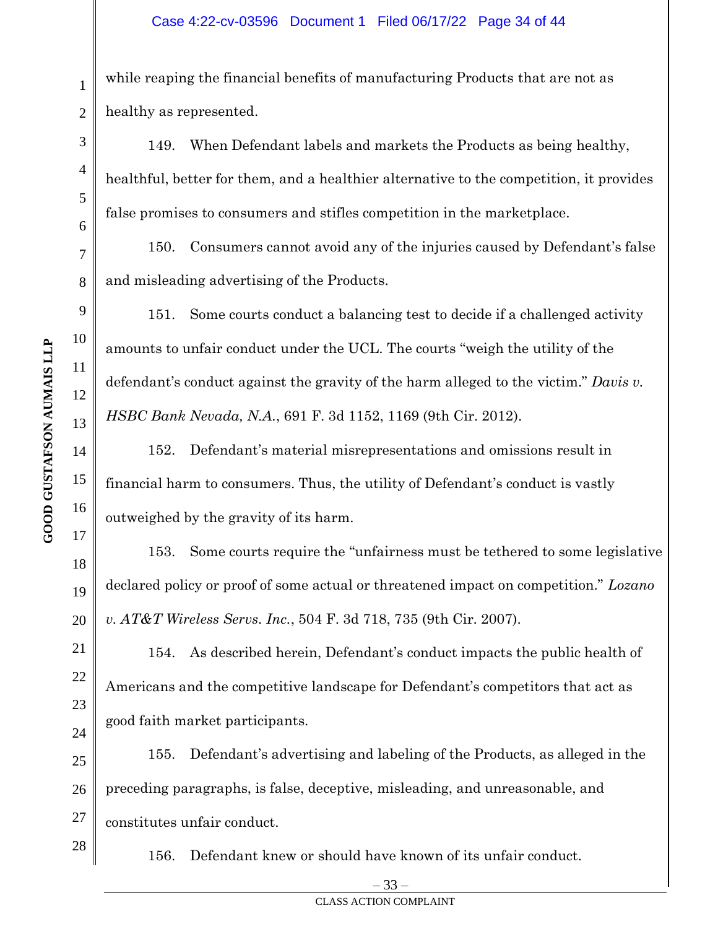while reaping the financial benefits of manufacturing Products that are not as healthy as represented.

149. When Defendant labels and markets the Products as being healthy, healthful, better for them, and a healthier alternative to the competition, it provides false promises to consumers and stifles competition in the marketplace.

150. Consumers cannot avoid any of the injuries caused by Defendant's false and misleading advertising of the Products.

151. Some courts conduct a balancing test to decide if a challenged activity amounts to unfair conduct under the UCL. The courts "weigh the utility of the defendant's conduct against the gravity of the harm alleged to the victim." *Davis v. HSBC Bank Nevada, N.A.*, 691 F. 3d 1152, 1169 (9th Cir. 2012).

152. Defendant's material misrepresentations and omissions result in financial harm to consumers. Thus, the utility of Defendant's conduct is vastly outweighed by the gravity of its harm.

153. Some courts require the "unfairness must be tethered to some legislative declared policy or proof of some actual or threatened impact on competition." *Lozano v. AT&T Wireless Servs. Inc.*, 504 F. 3d 718, 735 (9th Cir. 2007).

154. As described herein, Defendant's conduct impacts the public health of Americans and the competitive landscape for Defendant's competitors that act as good faith market participants.

25 26 27 155. Defendant's advertising and labeling of the Products, as alleged in the preceding paragraphs, is false, deceptive, misleading, and unreasonable, and constitutes unfair conduct.

156. Defendant knew or should have known of its unfair conduct.

1

2

3

4

5

6

7

8

9

10

11

12

13

14

15

16

17

18

19

20

21

22

23

24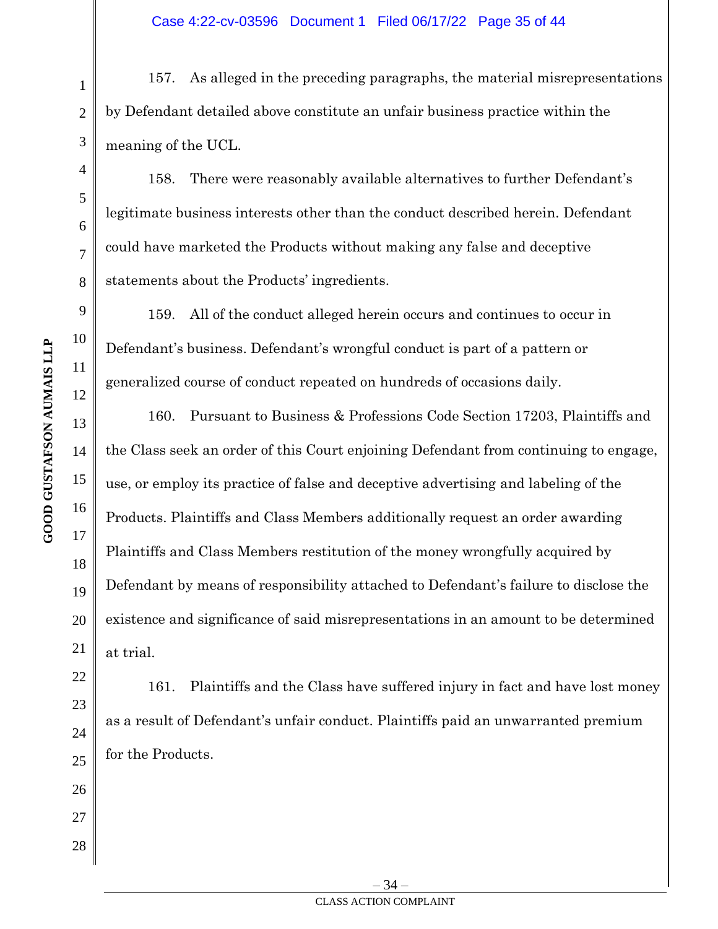157. As alleged in the preceding paragraphs, the material misrepresentations by Defendant detailed above constitute an unfair business practice within the meaning of the UCL.

158. There were reasonably available alternatives to further Defendant's legitimate business interests other than the conduct described herein. Defendant could have marketed the Products without making any false and deceptive statements about the Products' ingredients.

159. All of the conduct alleged herein occurs and continues to occur in Defendant's business. Defendant's wrongful conduct is part of a pattern or generalized course of conduct repeated on hundreds of occasions daily.

160. Pursuant to Business & Professions Code Section 17203, Plaintiffs and the Class seek an order of this Court enjoining Defendant from continuing to engage, use, or employ its practice of false and deceptive advertising and labeling of the Products. Plaintiffs and Class Members additionally request an order awarding Plaintiffs and Class Members restitution of the money wrongfully acquired by Defendant by means of responsibility attached to Defendant's failure to disclose the existence and significance of said misrepresentations in an amount to be determined at trial.

161. Plaintiffs and the Class have suffered injury in fact and have lost money as a result of Defendant's unfair conduct. Plaintiffs paid an unwarranted premium for the Products.

1

2

3

4

5

6

7

8

9

10

11

12

13

14

15

16

17

18

19

20

21

22

23

24

25

26

27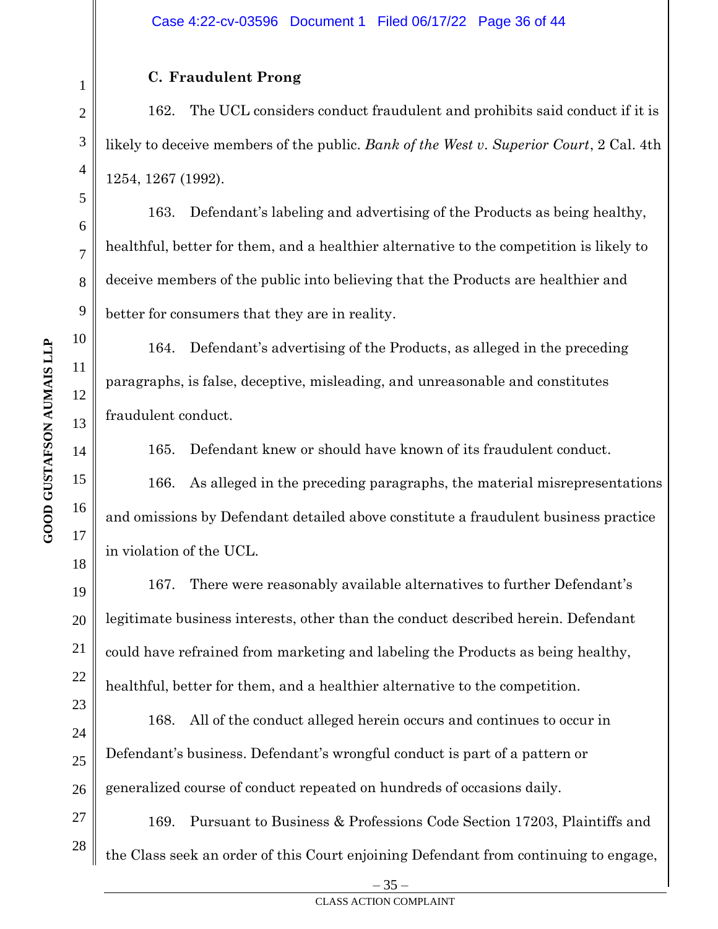# **C. Fraudulent Prong**

162. The UCL considers conduct fraudulent and prohibits said conduct if it is likely to deceive members of the public. *Bank of the West v. Superior Court*, 2 Cal. 4th 1254, 1267 (1992).

163. Defendant's labeling and advertising of the Products as being healthy, healthful, better for them, and a healthier alternative to the competition is likely to deceive members of the public into believing that the Products are healthier and better for consumers that they are in reality.

164. Defendant's advertising of the Products, as alleged in the preceding paragraphs, is false, deceptive, misleading, and unreasonable and constitutes fraudulent conduct.

165. Defendant knew or should have known of its fraudulent conduct.

166. As alleged in the preceding paragraphs, the material misrepresentations and omissions by Defendant detailed above constitute a fraudulent business practice in violation of the UCL.

167. There were reasonably available alternatives to further Defendant's legitimate business interests, other than the conduct described herein. Defendant could have refrained from marketing and labeling the Products as being healthy, healthful, better for them, and a healthier alternative to the competition.

168. All of the conduct alleged herein occurs and continues to occur in Defendant's business. Defendant's wrongful conduct is part of a pattern or generalized course of conduct repeated on hundreds of occasions daily.

27 28 169. Pursuant to Business & Professions Code Section 17203, Plaintiffs and the Class seek an order of this Court enjoining Defendant from continuing to engage,

1

2

3

4

5

6

7

8

9

10

11

12

13

14

15

16

17

18

19

20

21

22

23

24

25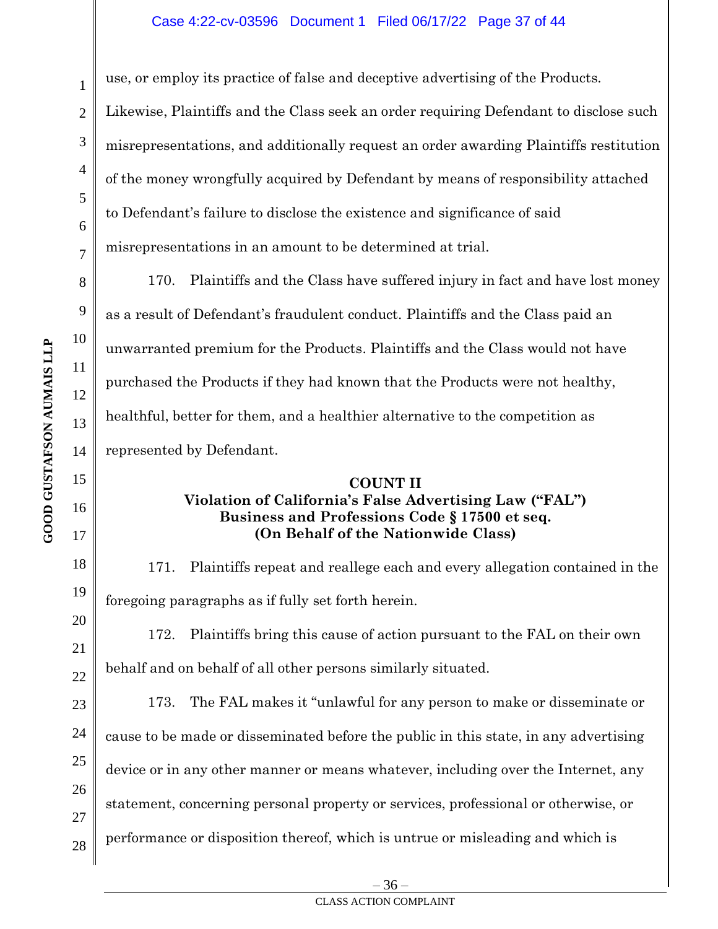#### Case 4:22-cv-03596 Document 1 Filed 06/17/22 Page 37 of 44

use, or employ its practice of false and deceptive advertising of the Products.

Likewise, Plaintiffs and the Class seek an order requiring Defendant to disclose such misrepresentations, and additionally request an order awarding Plaintiffs restitution of the money wrongfully acquired by Defendant by means of responsibility attached to Defendant's failure to disclose the existence and significance of said misrepresentations in an amount to be determined at trial.

170. Plaintiffs and the Class have suffered injury in fact and have lost money as a result of Defendant's fraudulent conduct. Plaintiffs and the Class paid an unwarranted premium for the Products. Plaintiffs and the Class would not have purchased the Products if they had known that the Products were not healthy, healthful, better for them, and a healthier alternative to the competition as represented by Defendant.

## **COUNT II Violation of California's False Advertising Law ("FAL") Business and Professions Code § 17500 et seq. (On Behalf of the Nationwide Class)**

171. Plaintiffs repeat and reallege each and every allegation contained in the foregoing paragraphs as if fully set forth herein.

172. Plaintiffs bring this cause of action pursuant to the FAL on their own behalf and on behalf of all other persons similarly situated.

173. The FAL makes it "unlawful for any person to make or disseminate or cause to be made or disseminated before the public in this state, in any advertising device or in any other manner or means whatever, including over the Internet, any statement, concerning personal property or services, professional or otherwise, or performance or disposition thereof, which is untrue or misleading and which is

1

2

3

4

5

6

7

8

9

10

11

12

13

14

15

16

17

18

19

20

21

22

23

24

25

26

27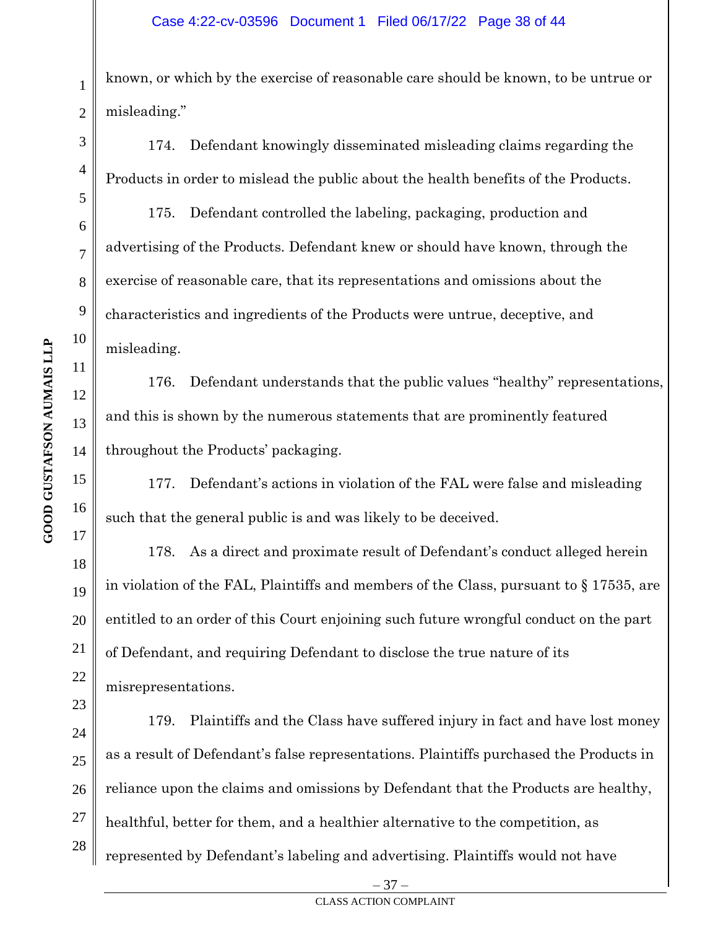known, or which by the exercise of reasonable care should be known, to be untrue or misleading."

174. Defendant knowingly disseminated misleading claims regarding the Products in order to mislead the public about the health benefits of the Products.

175. Defendant controlled the labeling, packaging, production and advertising of the Products. Defendant knew or should have known, through the exercise of reasonable care, that its representations and omissions about the characteristics and ingredients of the Products were untrue, deceptive, and misleading.

176. Defendant understands that the public values "healthy" representations, and this is shown by the numerous statements that are prominently featured throughout the Products' packaging.

177. Defendant's actions in violation of the FAL were false and misleading such that the general public is and was likely to be deceived.

178. As a direct and proximate result of Defendant's conduct alleged herein in violation of the FAL, Plaintiffs and members of the Class, pursuant to § 17535, are entitled to an order of this Court enjoining such future wrongful conduct on the part of Defendant, and requiring Defendant to disclose the true nature of its misrepresentations.

179. Plaintiffs and the Class have suffered injury in fact and have lost money as a result of Defendant's false representations. Plaintiffs purchased the Products in reliance upon the claims and omissions by Defendant that the Products are healthy, healthful, better for them, and a healthier alternative to the competition, as represented by Defendant's labeling and advertising. Plaintiffs would not have

**GOOD GUSTAFSON AUMAIS LLP** 

1

2

3

4

5

6

7

8

9

– 37 –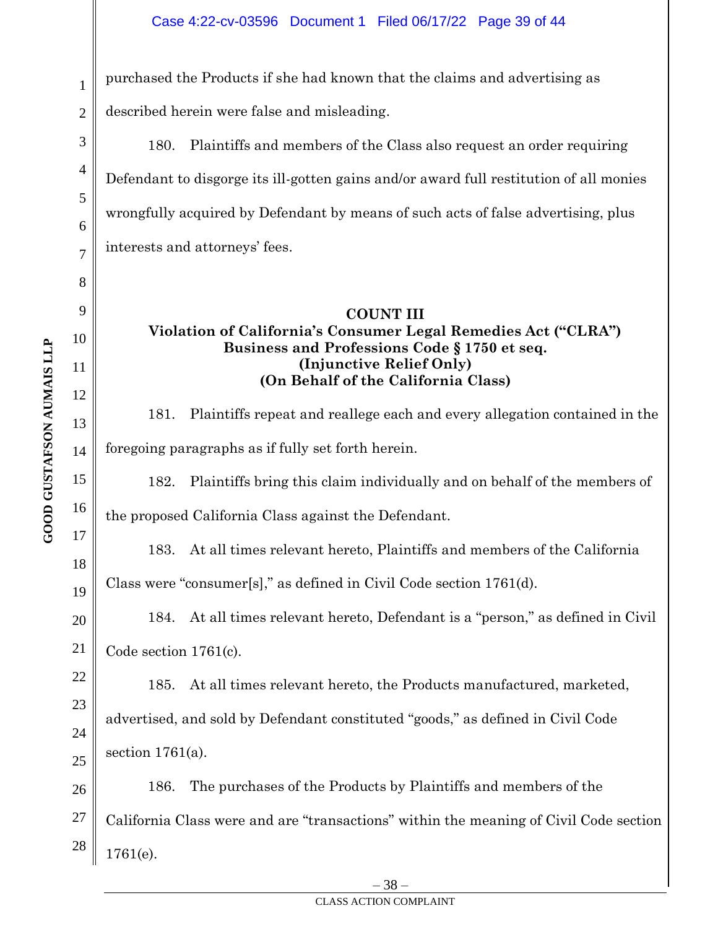purchased the Products if she had known that the claims and advertising as

described herein were false and misleading.

180. Plaintiffs and members of the Class also request an order requiring Defendant to disgorge its ill-gotten gains and/or award full restitution of all monies wrongfully acquired by Defendant by means of such acts of false advertising, plus interests and attorneys' fees.

# **COUNT III Violation of California's Consumer Legal Remedies Act ("CLRA") Business and Professions Code § 1750 et seq. (Injunctive Relief Only) (On Behalf of the California Class)**

181. Plaintiffs repeat and reallege each and every allegation contained in the foregoing paragraphs as if fully set forth herein.

182. Plaintiffs bring this claim individually and on behalf of the members of

the proposed California Class against the Defendant.

183. At all times relevant hereto, Plaintiffs and members of the California

Class were "consumer[s]," as defined in Civil Code section 1761(d).

20 184. At all times relevant hereto, Defendant is a "person," as defined in Civil Code section 1761(c).

185. At all times relevant hereto, the Products manufactured, marketed,

advertised, and sold by Defendant constituted "goods," as defined in Civil Code section  $1761(a)$ .

26 27 28 186. The purchases of the Products by Plaintiffs and members of the California Class were and are "transactions" within the meaning of Civil Code section 1761(e).

1

2

3

4

5

6

7

8

9

10

11

12

13

14

15

16

17

18

19

21

22

23

24

25

#### CLASS ACTION COMPLAINT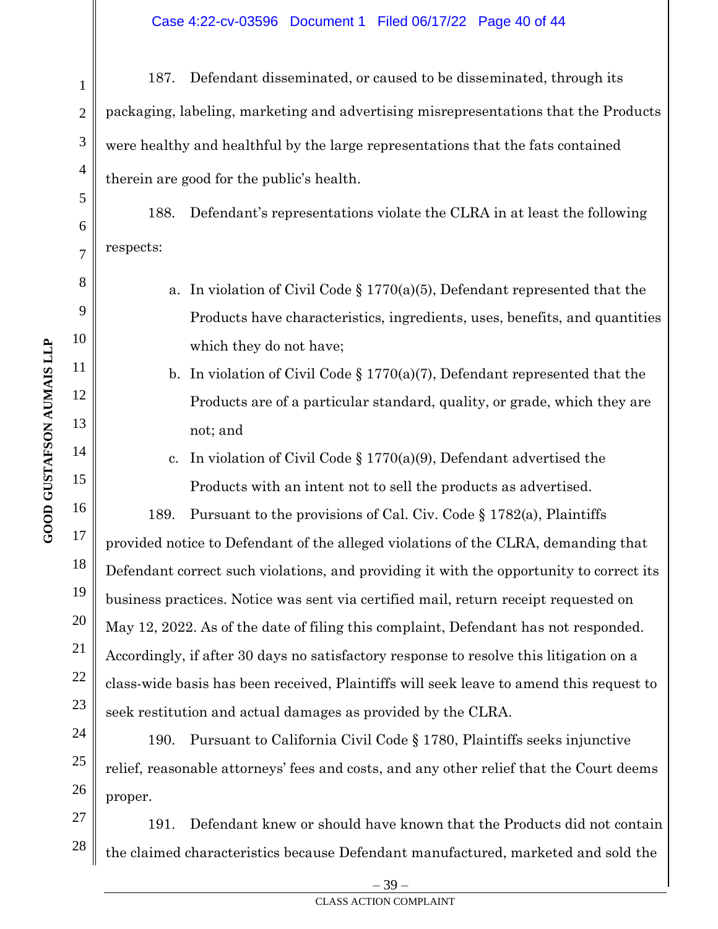187. Defendant disseminated, or caused to be disseminated, through its packaging, labeling, marketing and advertising misrepresentations that the Products were healthy and healthful by the large representations that the fats contained therein are good for the public's health.

188. Defendant's representations violate the CLRA in at least the following respects:

- a. In violation of Civil Code  $\S 1770(a)(5)$ , Defendant represented that the Products have characteristics, ingredients, uses, benefits, and quantities which they do not have;
- b. In violation of Civil Code  $\S 1770(a)(7)$ , Defendant represented that the Products are of a particular standard, quality, or grade, which they are not; and
- c. In violation of Civil Code § 1770(a)(9), Defendant advertised the Products with an intent not to sell the products as advertised.

189. Pursuant to the provisions of Cal. Civ. Code § 1782(a), Plaintiffs provided notice to Defendant of the alleged violations of the CLRA, demanding that Defendant correct such violations, and providing it with the opportunity to correct its business practices. Notice was sent via certified mail, return receipt requested on May 12, 2022. As of the date of filing this complaint, Defendant has not responded. Accordingly, if after 30 days no satisfactory response to resolve this litigation on a class-wide basis has been received, Plaintiffs will seek leave to amend this request to seek restitution and actual damages as provided by the CLRA.

190. Pursuant to California Civil Code § 1780, Plaintiffs seeks injunctive relief, reasonable attorneys' fees and costs, and any other relief that the Court deems proper.

27 28 191. Defendant knew or should have known that the Products did not contain the claimed characteristics because Defendant manufactured, marketed and sold the

**GOOD GUSTAFSON AUMAIS LLP** 

22

23

24

25

26

1

2

3

4

5

6

7

8

9

– 39 –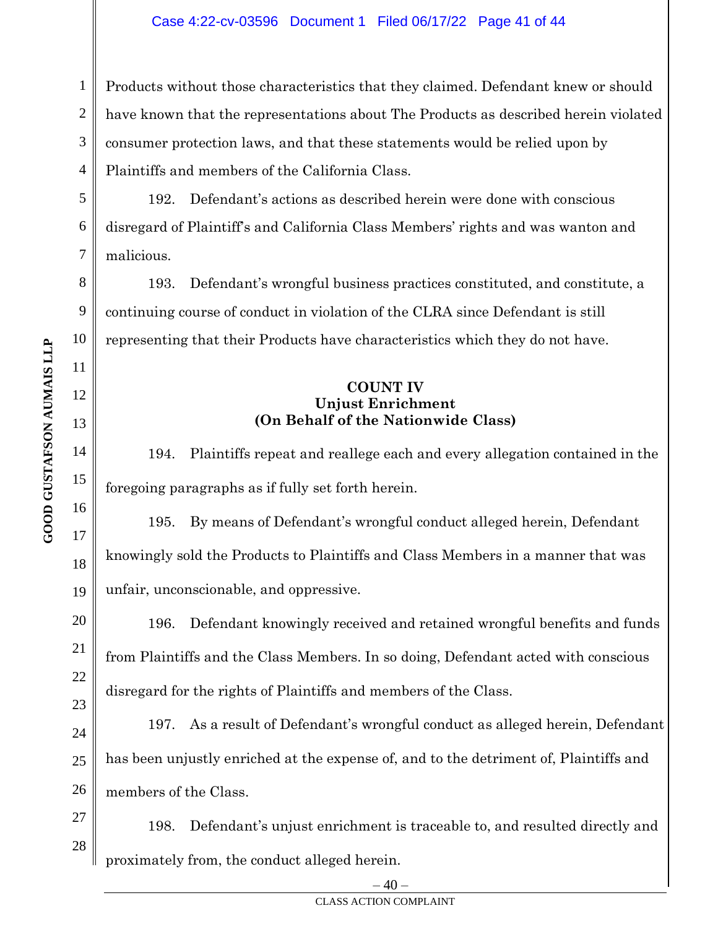1 2 3 4 Products without those characteristics that they claimed. Defendant knew or should have known that the representations about The Products as described herein violated consumer protection laws, and that these statements would be relied upon by Plaintiffs and members of the California Class.

192. Defendant's actions as described herein were done with conscious disregard of Plaintiff's and California Class Members' rights and was wanton and malicious.

193. Defendant's wrongful business practices constituted, and constitute, a continuing course of conduct in violation of the CLRA since Defendant is still representing that their Products have characteristics which they do not have.

## **COUNT IV Unjust Enrichment (On Behalf of the Nationwide Class)**

194. Plaintiffs repeat and reallege each and every allegation contained in the foregoing paragraphs as if fully set forth herein.

195. By means of Defendant's wrongful conduct alleged herein, Defendant knowingly sold the Products to Plaintiffs and Class Members in a manner that was unfair, unconscionable, and oppressive.

196. Defendant knowingly received and retained wrongful benefits and funds from Plaintiffs and the Class Members. In so doing, Defendant acted with conscious disregard for the rights of Plaintiffs and members of the Class.

197. As a result of Defendant's wrongful conduct as alleged herein, Defendant has been unjustly enriched at the expense of, and to the detriment of, Plaintiffs and members of the Class.

198. Defendant's unjust enrichment is traceable to, and resulted directly and proximately from, the conduct alleged herein.

5

6

7

8

9

10

11

12

13

14

15

16

17

18

19

20

21

22

23

24

25 26

27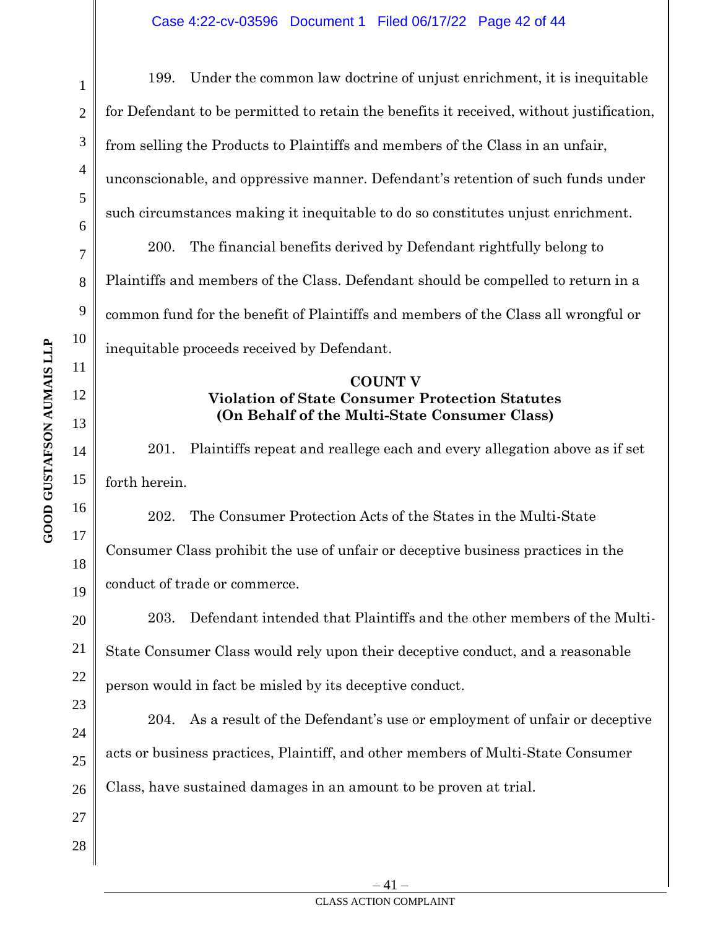1 2 3 4 5 6 7 8 9 10 11 12 13 14 15 16 17 18 19 20 21 22 23 24 25 26 27 199. Under the common law doctrine of unjust enrichment, it is inequitable for Defendant to be permitted to retain the benefits it received, without justification, from selling the Products to Plaintiffs and members of the Class in an unfair, unconscionable, and oppressive manner. Defendant's retention of such funds under such circumstances making it inequitable to do so constitutes unjust enrichment. 200. The financial benefits derived by Defendant rightfully belong to Plaintiffs and members of the Class. Defendant should be compelled to return in a common fund for the benefit of Plaintiffs and members of the Class all wrongful or inequitable proceeds received by Defendant. **COUNT V Violation of State Consumer Protection Statutes (On Behalf of the Multi-State Consumer Class)**  201. Plaintiffs repeat and reallege each and every allegation above as if set forth herein. 202. The Consumer Protection Acts of the States in the Multi-State Consumer Class prohibit the use of unfair or deceptive business practices in the conduct of trade or commerce. 203. Defendant intended that Plaintiffs and the other members of the Multi-State Consumer Class would rely upon their deceptive conduct, and a reasonable person would in fact be misled by its deceptive conduct. 204. As a result of the Defendant's use or employment of unfair or deceptive acts or business practices, Plaintiff, and other members of Multi-State Consumer Class, have sustained damages in an amount to be proven at trial.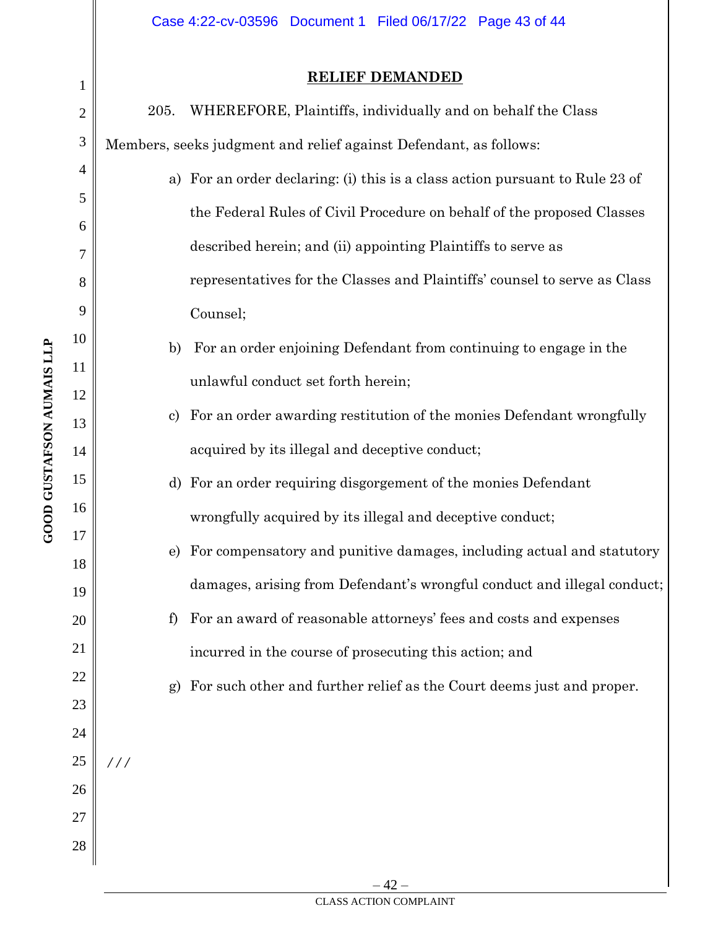# **RELIEF DEMANDED**

| 1              |      | <u> КЕПЕГ ДЕМАКДЕР</u>                                                       |
|----------------|------|------------------------------------------------------------------------------|
| $\overline{2}$ | 205. | WHEREFORE, Plaintiffs, individually and on behalf the Class                  |
| 3              |      | Members, seeks judgment and relief against Defendant, as follows:            |
| 4              |      | a) For an order declaring: (i) this is a class action pursuant to Rule 23 of |
| 5              |      | the Federal Rules of Civil Procedure on behalf of the proposed Classes       |
| 6<br>7         |      | described herein; and (ii) appointing Plaintiffs to serve as                 |
| 8              |      | representatives for the Classes and Plaintiffs' counsel to serve as Class    |
| 9              |      | Counsel;                                                                     |
| 10             | b)   | For an order enjoining Defendant from continuing to engage in the            |
| 11             |      | unlawful conduct set forth herein;                                           |
| 12<br>13       | C)   | For an order awarding restitution of the monies Defendant wrongfully         |
| 14             |      | acquired by its illegal and deceptive conduct;                               |
| 15             | d)   | For an order requiring disgorgement of the monies Defendant                  |
| 16             |      | wrongfully acquired by its illegal and deceptive conduct;                    |
| 17             | e)   | For compensatory and punitive damages, including actual and statutory        |
| 18             |      | damages, arising from Defendant's wrongful conduct and illegal conduct;      |
| 19<br>20       | f    | For an award of reasonable attorneys' fees and costs and expenses            |
| 21             |      | incurred in the course of prosecuting this action; and                       |
| 22             | g)   | For such other and further relief as the Court deems just and proper.        |
| 23             |      |                                                                              |
| 24             |      |                                                                              |
| 25             | 111  |                                                                              |
| 26<br>27       |      |                                                                              |
| 28             |      |                                                                              |
|                |      |                                                                              |